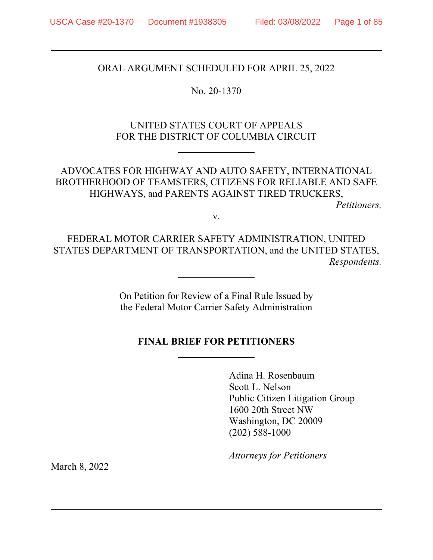ORAL ARGUMENT SCHEDULED FOR APRIL 25, 2022

No. 20-1370

 $\overline{a}$ 

 $\overline{a}$ 

 $\overline{a}$ 

 $\overline{a}$ 

UNITED STATES COURT OF APPEALS FOR THE DISTRICT OF COLUMBIA CIRCUIT

ADVOCATES FOR HIGHWAY AND AUTO SAFETY, INTERNATIONAL BROTHERHOOD OF TEAMSTERS, CITIZENS FOR RELIABLE AND SAFE HIGHWAYS, and PARENTS AGAINST TIRED TRUCKERS,

*Petitioners,* 

v.

FEDERAL MOTOR CARRIER SAFETY ADMINISTRATION, UNITED STATES DEPARTMENT OF TRANSPORTATION, and the UNITED STATES, *Respondents.* 

> On Petition for Review of a Final Rule Issued by the Federal Motor Carrier Safety Administration

# **FINAL BRIEF FOR PETITIONERS**

Adina H. Rosenbaum Scott L. Nelson Public Citizen Litigation Group 1600 20th Street NW Washington, DC 20009 (202) 588-1000

*Attorneys for Petitioners*

March 8, 2022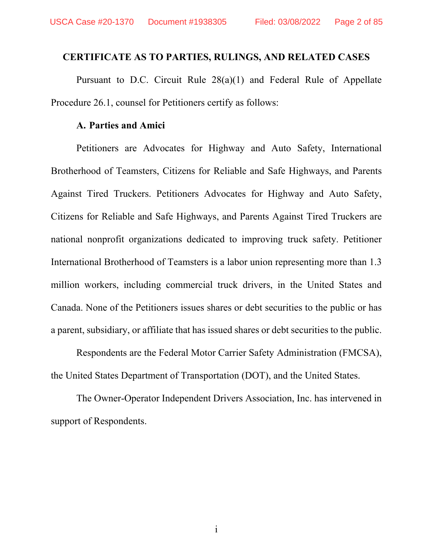## **CERTIFICATE AS TO PARTIES, RULINGS, AND RELATED CASES**

Pursuant to D.C. Circuit Rule 28(a)(1) and Federal Rule of Appellate Procedure 26.1, counsel for Petitioners certify as follows:

## **A. Parties and Amici**

Petitioners are Advocates for Highway and Auto Safety, International Brotherhood of Teamsters, Citizens for Reliable and Safe Highways, and Parents Against Tired Truckers. Petitioners Advocates for Highway and Auto Safety, Citizens for Reliable and Safe Highways, and Parents Against Tired Truckers are national nonprofit organizations dedicated to improving truck safety. Petitioner International Brotherhood of Teamsters is a labor union representing more than 1.3 million workers, including commercial truck drivers, in the United States and Canada. None of the Petitioners issues shares or debt securities to the public or has a parent, subsidiary, or affiliate that has issued shares or debt securities to the public.

Respondents are the Federal Motor Carrier Safety Administration (FMCSA), the United States Department of Transportation (DOT), and the United States.

The Owner-Operator Independent Drivers Association, Inc. has intervened in support of Respondents.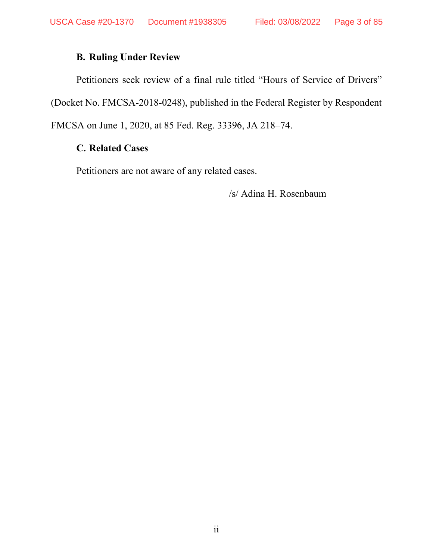# **B. Ruling Under Review**

Petitioners seek review of a final rule titled "Hours of Service of Drivers" (Docket No. FMCSA-2018-0248), published in the Federal Register by Respondent FMCSA on June 1, 2020, at 85 Fed. Reg. 33396, JA 218–74.

# **C. Related Cases**

Petitioners are not aware of any related cases.

/s/ Adina H. Rosenbaum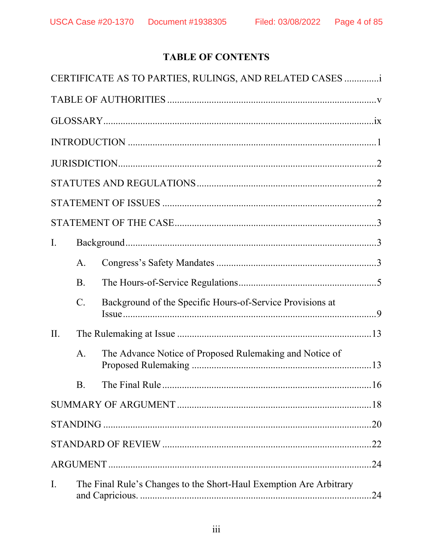# **TABLE OF CONTENTS**

|                |                                                                    | CERTIFICATE AS TO PARTIES, RULINGS, AND RELATED CASES     |  |
|----------------|--------------------------------------------------------------------|-----------------------------------------------------------|--|
|                |                                                                    |                                                           |  |
|                |                                                                    |                                                           |  |
|                |                                                                    |                                                           |  |
|                |                                                                    |                                                           |  |
|                |                                                                    |                                                           |  |
|                |                                                                    |                                                           |  |
|                |                                                                    |                                                           |  |
| $\mathbf{I}$ . |                                                                    |                                                           |  |
|                | A.                                                                 |                                                           |  |
|                | <b>B.</b>                                                          |                                                           |  |
|                | $C$ .                                                              | Background of the Specific Hours-of-Service Provisions at |  |
| II.            |                                                                    |                                                           |  |
|                | A.                                                                 | The Advance Notice of Proposed Rulemaking and Notice of   |  |
|                |                                                                    |                                                           |  |
|                |                                                                    |                                                           |  |
|                |                                                                    |                                                           |  |
|                |                                                                    |                                                           |  |
|                |                                                                    |                                                           |  |
| I.             | The Final Rule's Changes to the Short-Haul Exemption Are Arbitrary |                                                           |  |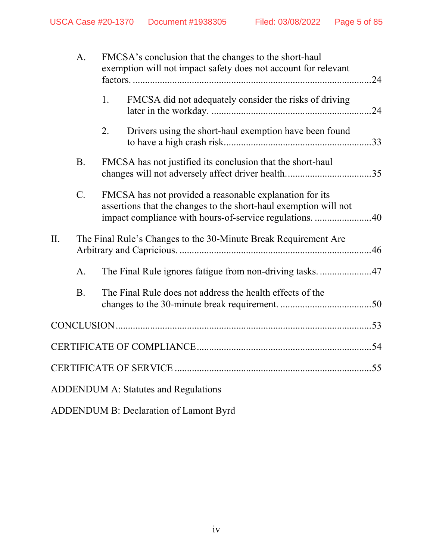|                                             | A.             | FMCSA's conclusion that the changes to the short-haul<br>exemption will not impact safety does not account for relevant<br>.24 |                                                                                                                                                                                        |  |
|---------------------------------------------|----------------|--------------------------------------------------------------------------------------------------------------------------------|----------------------------------------------------------------------------------------------------------------------------------------------------------------------------------------|--|
|                                             |                | 1.                                                                                                                             | FMCSA did not adequately consider the risks of driving<br>.24                                                                                                                          |  |
|                                             |                | 2.                                                                                                                             | Drivers using the short-haul exemption have been found                                                                                                                                 |  |
|                                             | <b>B.</b>      |                                                                                                                                | FMCSA has not justified its conclusion that the short-haul                                                                                                                             |  |
|                                             | $C$ .          |                                                                                                                                | FMCSA has not provided a reasonable explanation for its<br>assertions that the changes to the short-haul exemption will not<br>impact compliance with hours-of-service regulations. 40 |  |
| II.                                         |                | The Final Rule's Changes to the 30-Minute Break Requirement Are                                                                |                                                                                                                                                                                        |  |
|                                             | A <sub>1</sub> |                                                                                                                                |                                                                                                                                                                                        |  |
|                                             | <b>B.</b>      |                                                                                                                                | The Final Rule does not address the health effects of the                                                                                                                              |  |
|                                             |                |                                                                                                                                |                                                                                                                                                                                        |  |
|                                             |                |                                                                                                                                |                                                                                                                                                                                        |  |
|                                             |                |                                                                                                                                |                                                                                                                                                                                        |  |
| <b>ADDENDUM A: Statutes and Regulations</b> |                |                                                                                                                                |                                                                                                                                                                                        |  |

ADDENDUM B: Declaration of Lamont Byrd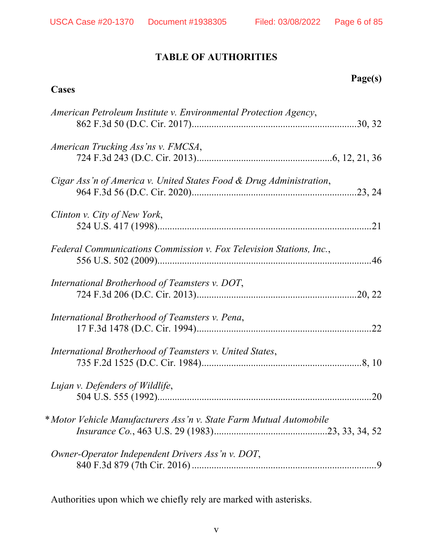# **TABLE OF AUTHORITIES**

# **Page(s)**

# **Cases**

| American Petroleum Institute v. Environmental Protection Agency,    |  |
|---------------------------------------------------------------------|--|
| American Trucking Ass'ns v. FMCSA,                                  |  |
| Cigar Ass'n of America v. United States Food & Drug Administration, |  |
| Clinton v. City of New York,                                        |  |
| Federal Communications Commission v. Fox Television Stations, Inc., |  |
| International Brotherhood of Teamsters v. DOT,                      |  |
| International Brotherhood of Teamsters v. Pena,                     |  |
| International Brotherhood of Teamsters v. United States,            |  |
| Lujan v. Defenders of Wildlife,                                     |  |
| *Motor Vehicle Manufacturers Ass'n v. State Farm Mutual Automobile  |  |
| Owner-Operator Independent Drivers Ass'n v. DOT,                    |  |

Authorities upon which we chiefly rely are marked with asterisks.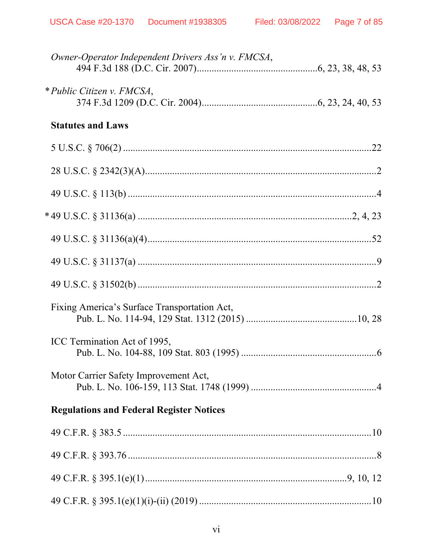| Owner-Operator Independent Drivers Ass'n v. FMCSA, |  |
|----------------------------------------------------|--|
| * Public Citizen v. FMCSA,                         |  |
| <b>Statutes and Laws</b>                           |  |
|                                                    |  |
|                                                    |  |
|                                                    |  |
|                                                    |  |
|                                                    |  |
|                                                    |  |
|                                                    |  |
| Fixing America's Surface Transportation Act,       |  |
| ICC Termination Act of 1995,                       |  |
| Motor Carrier Safety Improvement Act,              |  |
| <b>Regulations and Federal Register Notices</b>    |  |
|                                                    |  |
|                                                    |  |
|                                                    |  |
|                                                    |  |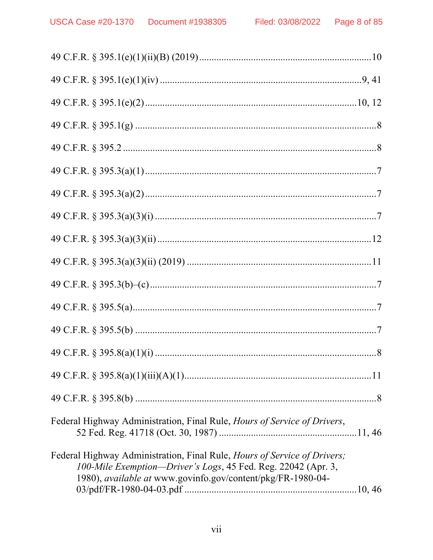| Federal Highway Administration, Final Rule, Hours of Service of Drivers,                                                                                                                                 |
|----------------------------------------------------------------------------------------------------------------------------------------------------------------------------------------------------------|
| Federal Highway Administration, Final Rule, Hours of Service of Drivers;<br>100-Mile Exemption-Driver's Logs, 45 Fed. Reg. 22042 (Apr. 3,<br>1980), available at www.govinfo.gov/content/pkg/FR-1980-04- |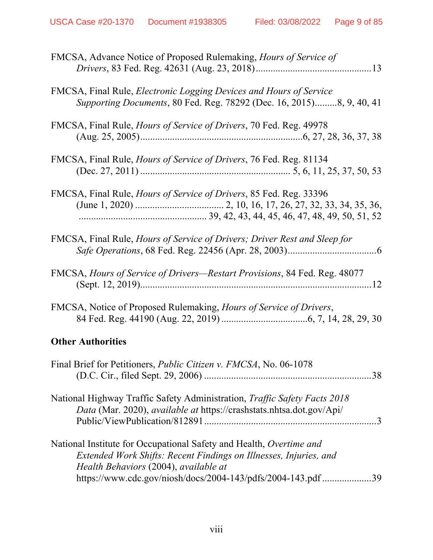| FMCSA, Advance Notice of Proposed Rulemaking, Hours of Service of                                                                                                                                                                                 |
|---------------------------------------------------------------------------------------------------------------------------------------------------------------------------------------------------------------------------------------------------|
| FMCSA, Final Rule, <i>Electronic Logging Devices and Hours of Service</i><br>Supporting Documents, 80 Fed. Reg. 78292 (Dec. 16, 2015)8, 9, 40, 41                                                                                                 |
| FMCSA, Final Rule, <i>Hours of Service of Drivers</i> , 70 Fed. Reg. 49978                                                                                                                                                                        |
| FMCSA, Final Rule, <i>Hours of Service of Drivers</i> , 76 Fed. Reg. 81134                                                                                                                                                                        |
| FMCSA, Final Rule, <i>Hours of Service of Drivers</i> , 85 Fed. Reg. 33396                                                                                                                                                                        |
| FMCSA, Final Rule, <i>Hours of Service of Drivers; Driver Rest and Sleep for</i>                                                                                                                                                                  |
| FMCSA, Hours of Service of Drivers—Restart Provisions, 84 Fed. Reg. 48077                                                                                                                                                                         |
| FMCSA, Notice of Proposed Rulemaking, Hours of Service of Drivers,                                                                                                                                                                                |
| <b>Other Authorities</b>                                                                                                                                                                                                                          |
| Final Brief for Petitioners, <i>Public Citizen v. FMCSA</i> , No. 06-1078                                                                                                                                                                         |
| National Highway Traffic Safety Administration, <i>Traffic Safety Facts 2018</i><br>Data (Mar. 2020), available at https://crashstats.nhtsa.dot.gov/Api/                                                                                          |
| National Institute for Occupational Safety and Health, Overtime and<br>Extended Work Shifts: Recent Findings on Illnesses, Injuries, and<br>Health Behaviors (2004), available at<br>https://www.cdc.gov/niosh/docs/2004-143/pdfs/2004-143.pdf 39 |
|                                                                                                                                                                                                                                                   |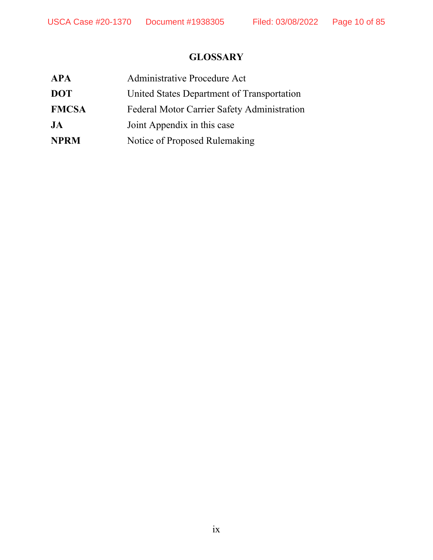# **GLOSSARY**

| Administrative Procedure Act                |
|---------------------------------------------|
| United States Department of Transportation  |
| Federal Motor Carrier Safety Administration |
| Joint Appendix in this case                 |
| Notice of Proposed Rulemaking               |
|                                             |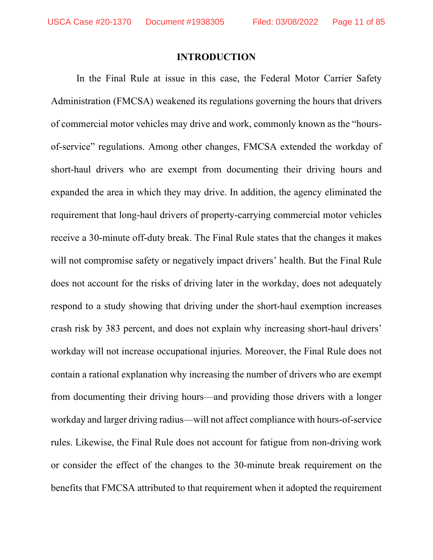## **INTRODUCTION**

In the Final Rule at issue in this case, the Federal Motor Carrier Safety Administration (FMCSA) weakened its regulations governing the hours that drivers of commercial motor vehicles may drive and work, commonly known as the "hoursof-service" regulations. Among other changes, FMCSA extended the workday of short-haul drivers who are exempt from documenting their driving hours and expanded the area in which they may drive. In addition, the agency eliminated the requirement that long-haul drivers of property-carrying commercial motor vehicles receive a 30-minute off-duty break. The Final Rule states that the changes it makes will not compromise safety or negatively impact drivers' health. But the Final Rule does not account for the risks of driving later in the workday, does not adequately respond to a study showing that driving under the short-haul exemption increases crash risk by 383 percent, and does not explain why increasing short-haul drivers' workday will not increase occupational injuries. Moreover, the Final Rule does not contain a rational explanation why increasing the number of drivers who are exempt from documenting their driving hours—and providing those drivers with a longer workday and larger driving radius—will not affect compliance with hours-of-service rules. Likewise, the Final Rule does not account for fatigue from non-driving work or consider the effect of the changes to the 30-minute break requirement on the benefits that FMCSA attributed to that requirement when it adopted the requirement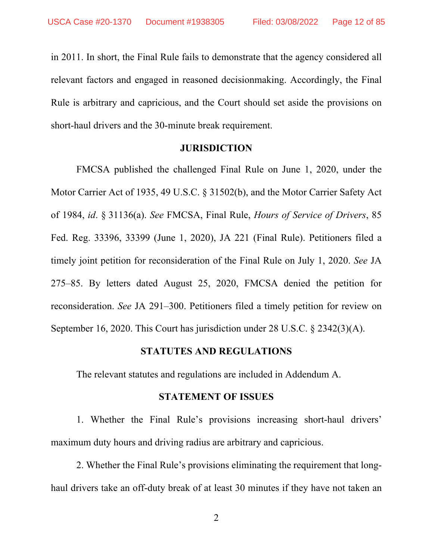in 2011. In short, the Final Rule fails to demonstrate that the agency considered all relevant factors and engaged in reasoned decisionmaking. Accordingly, the Final Rule is arbitrary and capricious, and the Court should set aside the provisions on short-haul drivers and the 30-minute break requirement.

#### **JURISDICTION**

FMCSA published the challenged Final Rule on June 1, 2020, under the Motor Carrier Act of 1935, 49 U.S.C. § 31502(b), and the Motor Carrier Safety Act of 1984, *id*. § 31136(a). *See* FMCSA, Final Rule, *Hours of Service of Drivers*, 85 Fed. Reg. 33396, 33399 (June 1, 2020), JA 221 (Final Rule). Petitioners filed a timely joint petition for reconsideration of the Final Rule on July 1, 2020. *See* JA 275–85. By letters dated August 25, 2020, FMCSA denied the petition for reconsideration. *See* JA 291–300. Petitioners filed a timely petition for review on September 16, 2020. This Court has jurisdiction under 28 U.S.C. § 2342(3)(A).

## **STATUTES AND REGULATIONS**

The relevant statutes and regulations are included in Addendum A.

### **STATEMENT OF ISSUES**

1. Whether the Final Rule's provisions increasing short-haul drivers' maximum duty hours and driving radius are arbitrary and capricious.

 2. Whether the Final Rule's provisions eliminating the requirement that longhaul drivers take an off-duty break of at least 30 minutes if they have not taken an

2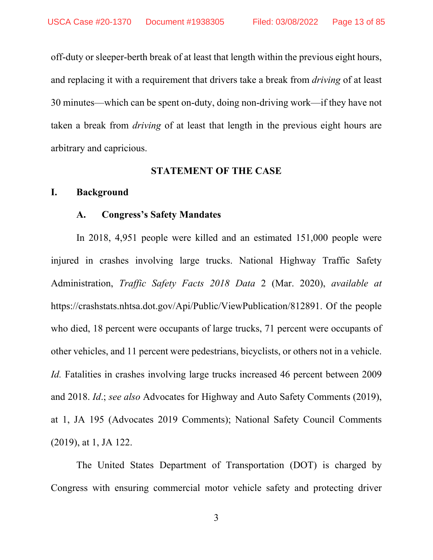off-duty or sleeper-berth break of at least that length within the previous eight hours, and replacing it with a requirement that drivers take a break from *driving* of at least 30 minutes—which can be spent on-duty, doing non-driving work—if they have not taken a break from *driving* of at least that length in the previous eight hours are arbitrary and capricious.

#### **STATEMENT OF THE CASE**

## **I. Background**

## **A. Congress's Safety Mandates**

In 2018, 4,951 people were killed and an estimated 151,000 people were injured in crashes involving large trucks. National Highway Traffic Safety Administration, *Traffic Safety Facts 2018 Data* 2 (Mar. 2020), *available at*  https://crashstats.nhtsa.dot.gov/Api/Public/ViewPublication/812891. Of the people who died, 18 percent were occupants of large trucks, 71 percent were occupants of other vehicles, and 11 percent were pedestrians, bicyclists, or others not in a vehicle. *Id.* Fatalities in crashes involving large trucks increased 46 percent between 2009 and 2018. *Id*.; *see also* Advocates for Highway and Auto Safety Comments (2019), at 1, JA 195 (Advocates 2019 Comments); National Safety Council Comments (2019), at 1, JA 122.

The United States Department of Transportation (DOT) is charged by Congress with ensuring commercial motor vehicle safety and protecting driver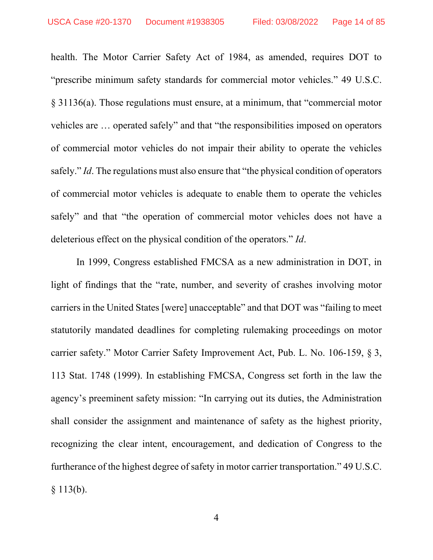health. The Motor Carrier Safety Act of 1984, as amended, requires DOT to "prescribe minimum safety standards for commercial motor vehicles." 49 U.S.C. § 31136(a). Those regulations must ensure, at a minimum, that "commercial motor vehicles are … operated safely" and that "the responsibilities imposed on operators of commercial motor vehicles do not impair their ability to operate the vehicles safely." *Id*. The regulations must also ensure that "the physical condition of operators of commercial motor vehicles is adequate to enable them to operate the vehicles safely" and that "the operation of commercial motor vehicles does not have a deleterious effect on the physical condition of the operators." *Id*.

In 1999, Congress established FMCSA as a new administration in DOT, in light of findings that the "rate, number, and severity of crashes involving motor carriers in the United States [were] unacceptable" and that DOT was "failing to meet statutorily mandated deadlines for completing rulemaking proceedings on motor carrier safety." Motor Carrier Safety Improvement Act, Pub. L. No. 106-159, § 3, 113 Stat. 1748 (1999). In establishing FMCSA, Congress set forth in the law the agency's preeminent safety mission: "In carrying out its duties, the Administration shall consider the assignment and maintenance of safety as the highest priority, recognizing the clear intent, encouragement, and dedication of Congress to the furtherance of the highest degree of safety in motor carrier transportation." 49 U.S.C.  $§ 113(b).$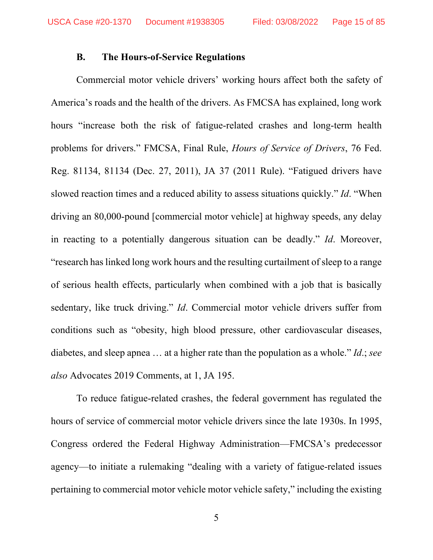#### **B. The Hours-of-Service Regulations**

Commercial motor vehicle drivers' working hours affect both the safety of America's roads and the health of the drivers. As FMCSA has explained, long work hours "increase both the risk of fatigue-related crashes and long-term health problems for drivers." FMCSA, Final Rule, *Hours of Service of Drivers*, 76 Fed. Reg. 81134, 81134 (Dec. 27, 2011), JA 37 (2011 Rule). "Fatigued drivers have slowed reaction times and a reduced ability to assess situations quickly." *Id*. "When driving an 80,000-pound [commercial motor vehicle] at highway speeds, any delay in reacting to a potentially dangerous situation can be deadly." *Id*. Moreover, "research has linked long work hours and the resulting curtailment of sleep to a range of serious health effects, particularly when combined with a job that is basically sedentary, like truck driving." *Id*. Commercial motor vehicle drivers suffer from conditions such as "obesity, high blood pressure, other cardiovascular diseases, diabetes, and sleep apnea … at a higher rate than the population as a whole." *Id*.; *see also* Advocates 2019 Comments, at 1, JA 195.

To reduce fatigue-related crashes, the federal government has regulated the hours of service of commercial motor vehicle drivers since the late 1930s. In 1995, Congress ordered the Federal Highway Administration—FMCSA's predecessor agency—to initiate a rulemaking "dealing with a variety of fatigue-related issues pertaining to commercial motor vehicle motor vehicle safety," including the existing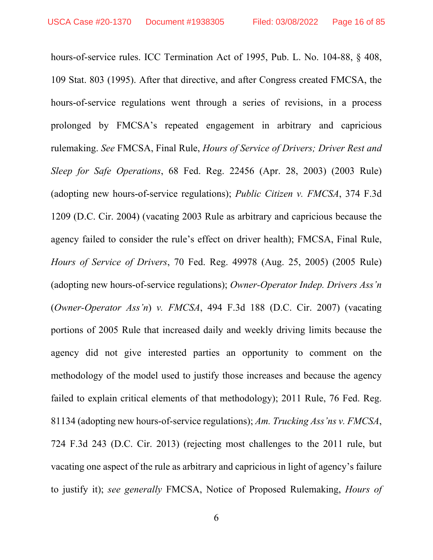hours-of-service rules. ICC Termination Act of 1995, Pub. L. No. 104-88, § 408, 109 Stat. 803 (1995). After that directive, and after Congress created FMCSA, the hours-of-service regulations went through a series of revisions, in a process prolonged by FMCSA's repeated engagement in arbitrary and capricious rulemaking. *See* FMCSA, Final Rule, *Hours of Service of Drivers; Driver Rest and Sleep for Safe Operations*, 68 Fed. Reg. 22456 (Apr. 28, 2003) (2003 Rule) (adopting new hours-of-service regulations); *Public Citizen v. FMCSA*, 374 F.3d 1209 (D.C. Cir. 2004) (vacating 2003 Rule as arbitrary and capricious because the agency failed to consider the rule's effect on driver health); FMCSA, Final Rule, *Hours of Service of Drivers*, 70 Fed. Reg. 49978 (Aug. 25, 2005) (2005 Rule) (adopting new hours-of-service regulations); *Owner-Operator Indep. Drivers Ass'n* (*Owner-Operator Ass'n*) *v. FMCSA*, 494 F.3d 188 (D.C. Cir. 2007) (vacating portions of 2005 Rule that increased daily and weekly driving limits because the agency did not give interested parties an opportunity to comment on the methodology of the model used to justify those increases and because the agency failed to explain critical elements of that methodology); 2011 Rule, 76 Fed. Reg. 81134 (adopting new hours-of-service regulations); *Am. Trucking Ass'ns v. FMCSA*, 724 F.3d 243 (D.C. Cir. 2013) (rejecting most challenges to the 2011 rule, but vacating one aspect of the rule as arbitrary and capricious in light of agency's failure to justify it); *see generally* FMCSA, Notice of Proposed Rulemaking, *Hours of*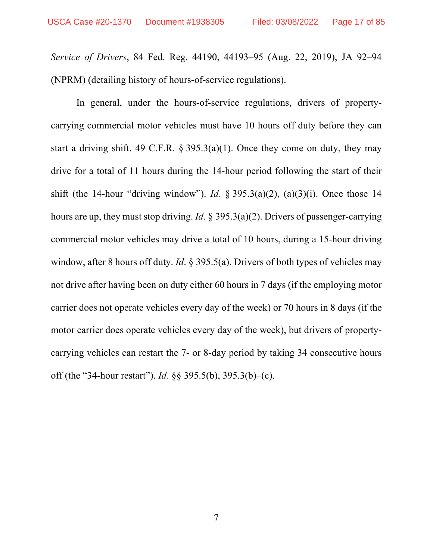*Service of Drivers*, 84 Fed. Reg. 44190, 44193–95 (Aug. 22, 2019), JA 92–94 (NPRM) (detailing history of hours-of-service regulations).

In general, under the hours-of-service regulations, drivers of propertycarrying commercial motor vehicles must have 10 hours off duty before they can start a driving shift. 49 C.F.R.  $\S 395.3(a)(1)$ . Once they come on duty, they may drive for a total of 11 hours during the 14-hour period following the start of their shift (the 14-hour "driving window"). *Id*. § 395.3(a)(2), (a)(3)(i). Once those 14 hours are up, they must stop driving. *Id*. § 395.3(a)(2). Drivers of passenger-carrying commercial motor vehicles may drive a total of 10 hours, during a 15-hour driving window, after 8 hours off duty. *Id.* § 395.5(a). Drivers of both types of vehicles may not drive after having been on duty either 60 hours in 7 days (if the employing motor carrier does not operate vehicles every day of the week) or 70 hours in 8 days (if the motor carrier does operate vehicles every day of the week), but drivers of propertycarrying vehicles can restart the 7- or 8-day period by taking 34 consecutive hours off (the "34-hour restart"). *Id*. §§ 395.5(b), 395.3(b)–(c).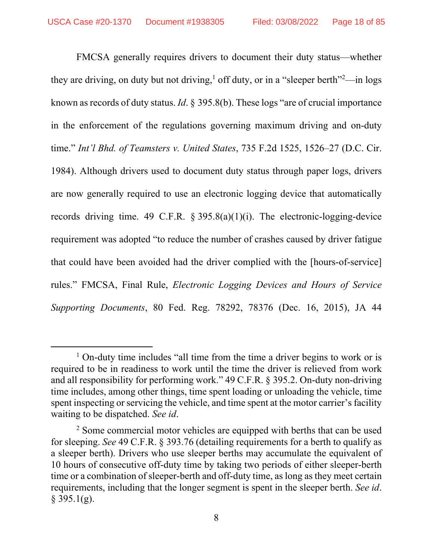FMCSA generally requires drivers to document their duty status—whether they are driving, on duty but not driving,<sup>1</sup> off duty, or in a "sleeper berth"<sup>2</sup>—in logs known as records of duty status. *Id*. § 395.8(b). These logs "are of crucial importance in the enforcement of the regulations governing maximum driving and on-duty time." *Int'l Bhd. of Teamsters v. United States*, 735 F.2d 1525, 1526–27 (D.C. Cir. 1984). Although drivers used to document duty status through paper logs, drivers are now generally required to use an electronic logging device that automatically records driving time. 49 C.F.R. § 395.8(a)(1)(i). The electronic-logging-device requirement was adopted "to reduce the number of crashes caused by driver fatigue that could have been avoided had the driver complied with the [hours-of-service] rules." FMCSA, Final Rule, *Electronic Logging Devices and Hours of Service Supporting Documents*, 80 Fed. Reg. 78292, 78376 (Dec. 16, 2015), JA 44

<sup>&</sup>lt;sup>1</sup> On-duty time includes "all time from the time a driver begins to work or is required to be in readiness to work until the time the driver is relieved from work and all responsibility for performing work." 49 C.F.R. § 395.2. On-duty non-driving time includes, among other things, time spent loading or unloading the vehicle, time spent inspecting or servicing the vehicle, and time spent at the motor carrier's facility waiting to be dispatched. *See id*.

 $2^2$  Some commercial motor vehicles are equipped with berths that can be used for sleeping. *See* 49 C.F.R. § 393.76 (detailing requirements for a berth to qualify as a sleeper berth). Drivers who use sleeper berths may accumulate the equivalent of 10 hours of consecutive off-duty time by taking two periods of either sleeper-berth time or a combination of sleeper-berth and off-duty time, as long as they meet certain requirements, including that the longer segment is spent in the sleeper berth. *See id*.  $§$  395.1(g).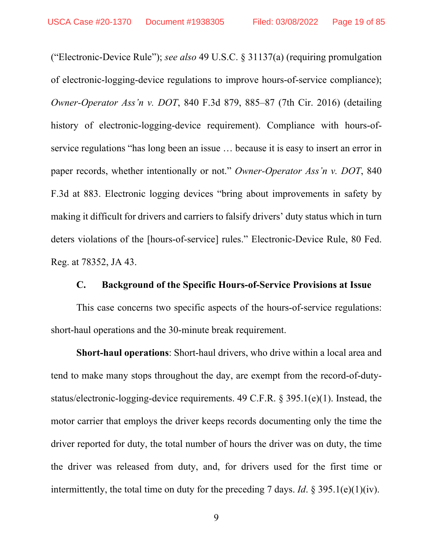("Electronic-Device Rule"); *see also* 49 U.S.C. § 31137(a) (requiring promulgation of electronic-logging-device regulations to improve hours-of-service compliance); *Owner-Operator Ass'n v. DOT*, 840 F.3d 879, 885–87 (7th Cir. 2016) (detailing history of electronic-logging-device requirement). Compliance with hours-ofservice regulations "has long been an issue … because it is easy to insert an error in paper records, whether intentionally or not." *Owner-Operator Ass'n v. DOT*, 840 F.3d at 883. Electronic logging devices "bring about improvements in safety by making it difficult for drivers and carriers to falsify drivers' duty status which in turn deters violations of the [hours-of-service] rules." Electronic-Device Rule, 80 Fed. Reg. at 78352, JA 43.

### **C. Background of the Specific Hours-of-Service Provisions at Issue**

This case concerns two specific aspects of the hours-of-service regulations: short-haul operations and the 30-minute break requirement.

**Short-haul operations**: Short-haul drivers, who drive within a local area and tend to make many stops throughout the day, are exempt from the record-of-dutystatus/electronic-logging-device requirements. 49 C.F.R. § 395.1(e)(1). Instead, the motor carrier that employs the driver keeps records documenting only the time the driver reported for duty, the total number of hours the driver was on duty, the time the driver was released from duty, and, for drivers used for the first time or intermittently, the total time on duty for the preceding 7 days. *Id*. § 395.1(e)(1)(iv).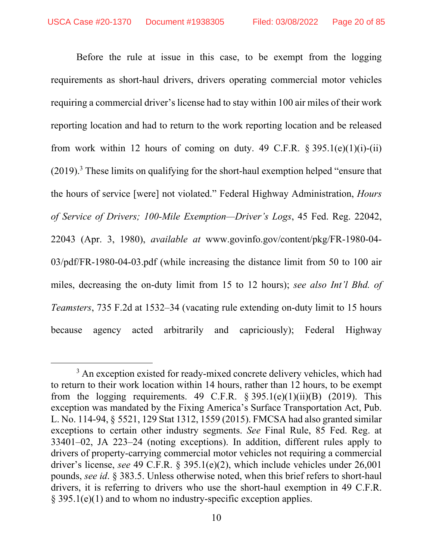Before the rule at issue in this case, to be exempt from the logging requirements as short-haul drivers, drivers operating commercial motor vehicles requiring a commercial driver's license had to stay within 100 air miles of their work reporting location and had to return to the work reporting location and be released from work within 12 hours of coming on duty. 49 C.F.R.  $\S 395.1(e)(1)(i)-(ii)$  $(2019).$ <sup>3</sup> These limits on qualifying for the short-haul exemption helped "ensure that the hours of service [were] not violated." Federal Highway Administration, *Hours of Service of Drivers; 100-Mile Exemption—Driver's Logs*, 45 Fed. Reg. 22042, 22043 (Apr. 3, 1980), *available at* www.govinfo.gov/content/pkg/FR-1980-04- 03/pdf/FR-1980-04-03.pdf (while increasing the distance limit from 50 to 100 air miles, decreasing the on-duty limit from 15 to 12 hours); *see also Int'l Bhd. of Teamsters*, 735 F.2d at 1532–34 (vacating rule extending on-duty limit to 15 hours because agency acted arbitrarily and capriciously); Federal Highway

<sup>&</sup>lt;sup>3</sup> An exception existed for ready-mixed concrete delivery vehicles, which had to return to their work location within 14 hours, rather than 12 hours, to be exempt from the logging requirements. 49 C.F.R.  $\S 395.1(e)(1)(ii)(B)$  (2019). This exception was mandated by the Fixing America's Surface Transportation Act, Pub. L. No. 114-94, § 5521, 129 Stat 1312, 1559 (2015). FMCSA had also granted similar exceptions to certain other industry segments. *See* Final Rule, 85 Fed. Reg. at 33401–02, JA 223–24 (noting exceptions). In addition, different rules apply to drivers of property-carrying commercial motor vehicles not requiring a commercial driver's license, *see* 49 C.F.R. § 395.1(e)(2), which include vehicles under 26,001 pounds, *see id*. § 383.5. Unless otherwise noted, when this brief refers to short-haul drivers, it is referring to drivers who use the short-haul exemption in 49 C.F.R. § 395.1(e)(1) and to whom no industry-specific exception applies.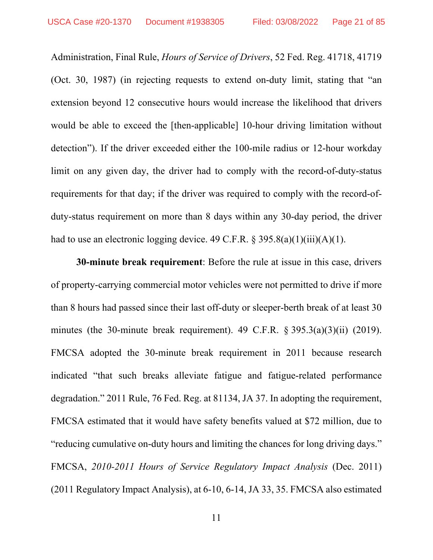Administration, Final Rule, *Hours of Service of Drivers*, 52 Fed. Reg. 41718, 41719 (Oct. 30, 1987) (in rejecting requests to extend on-duty limit, stating that "an extension beyond 12 consecutive hours would increase the likelihood that drivers would be able to exceed the [then-applicable] 10-hour driving limitation without detection"). If the driver exceeded either the 100-mile radius or 12-hour workday limit on any given day, the driver had to comply with the record-of-duty-status requirements for that day; if the driver was required to comply with the record-ofduty-status requirement on more than 8 days within any 30-day period, the driver had to use an electronic logging device. 49 C.F.R.  $\S$  395.8(a)(1)(iii)(A)(1).

**30-minute break requirement**: Before the rule at issue in this case, drivers of property-carrying commercial motor vehicles were not permitted to drive if more than 8 hours had passed since their last off-duty or sleeper-berth break of at least 30 minutes (the 30-minute break requirement). 49 C.F.R. § 395.3(a)(3)(ii) (2019). FMCSA adopted the 30-minute break requirement in 2011 because research indicated "that such breaks alleviate fatigue and fatigue-related performance degradation." 2011 Rule, 76 Fed. Reg. at 81134, JA 37. In adopting the requirement, FMCSA estimated that it would have safety benefits valued at \$72 million, due to "reducing cumulative on-duty hours and limiting the chances for long driving days." FMCSA, *2010-2011 Hours of Service Regulatory Impact Analysis* (Dec. 2011) (2011 Regulatory Impact Analysis), at 6-10, 6-14, JA 33, 35. FMCSA also estimated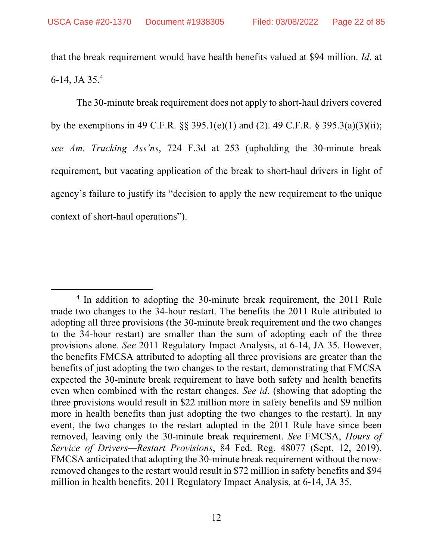that the break requirement would have health benefits valued at \$94 million. *Id*. at 6-14, JA 35.4

The 30-minute break requirement does not apply to short-haul drivers covered by the exemptions in 49 C.F.R. §§ 395.1(e)(1) and (2). 49 C.F.R. § 395.3(a)(3)(ii); *see Am. Trucking Ass'ns*, 724 F.3d at 253 (upholding the 30-minute break requirement, but vacating application of the break to short-haul drivers in light of agency's failure to justify its "decision to apply the new requirement to the unique context of short-haul operations").

<sup>&</sup>lt;sup>4</sup> In addition to adopting the 30-minute break requirement, the 2011 Rule made two changes to the 34-hour restart. The benefits the 2011 Rule attributed to adopting all three provisions (the 30-minute break requirement and the two changes to the 34-hour restart) are smaller than the sum of adopting each of the three provisions alone. *See* 2011 Regulatory Impact Analysis, at 6-14, JA 35. However, the benefits FMCSA attributed to adopting all three provisions are greater than the benefits of just adopting the two changes to the restart, demonstrating that FMCSA expected the 30-minute break requirement to have both safety and health benefits even when combined with the restart changes. *See id*. (showing that adopting the three provisions would result in \$22 million more in safety benefits and \$9 million more in health benefits than just adopting the two changes to the restart). In any event, the two changes to the restart adopted in the 2011 Rule have since been removed, leaving only the 30-minute break requirement. *See* FMCSA, *Hours of Service of Drivers—Restart Provisions*, 84 Fed. Reg. 48077 (Sept. 12, 2019). FMCSA anticipated that adopting the 30-minute break requirement without the nowremoved changes to the restart would result in \$72 million in safety benefits and \$94 million in health benefits. 2011 Regulatory Impact Analysis, at 6-14, JA 35.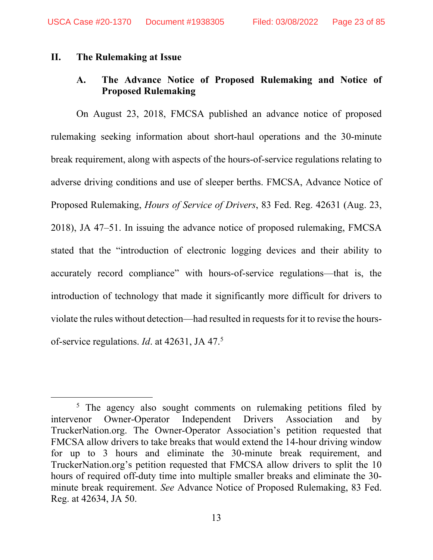### **II. The Rulemaking at Issue**

# **A. The Advance Notice of Proposed Rulemaking and Notice of Proposed Rulemaking**

On August 23, 2018, FMCSA published an advance notice of proposed rulemaking seeking information about short-haul operations and the 30-minute break requirement, along with aspects of the hours-of-service regulations relating to adverse driving conditions and use of sleeper berths. FMCSA, Advance Notice of Proposed Rulemaking, *Hours of Service of Drivers*, 83 Fed. Reg. 42631 (Aug. 23, 2018), JA 47–51. In issuing the advance notice of proposed rulemaking, FMCSA stated that the "introduction of electronic logging devices and their ability to accurately record compliance" with hours-of-service regulations—that is, the introduction of technology that made it significantly more difficult for drivers to violate the rules without detection—had resulted in requests for it to revise the hoursof-service regulations. *Id*. at 42631, JA 47.5

<sup>&</sup>lt;sup>5</sup> The agency also sought comments on rulemaking petitions filed by intervenor Owner-Operator Independent Drivers Association and by TruckerNation.org. The Owner-Operator Association's petition requested that FMCSA allow drivers to take breaks that would extend the 14-hour driving window for up to 3 hours and eliminate the 30-minute break requirement, and TruckerNation.org's petition requested that FMCSA allow drivers to split the 10 hours of required off-duty time into multiple smaller breaks and eliminate the 30 minute break requirement. *See* Advance Notice of Proposed Rulemaking, 83 Fed. Reg. at 42634, JA 50.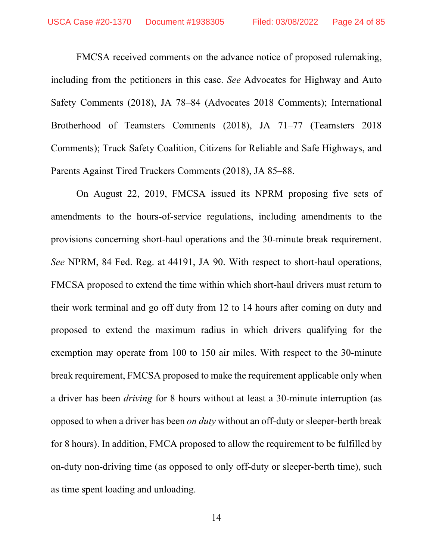FMCSA received comments on the advance notice of proposed rulemaking, including from the petitioners in this case. *See* Advocates for Highway and Auto Safety Comments (2018), JA 78–84 (Advocates 2018 Comments); International Brotherhood of Teamsters Comments (2018), JA 71–77 (Teamsters 2018 Comments); Truck Safety Coalition, Citizens for Reliable and Safe Highways, and Parents Against Tired Truckers Comments (2018), JA 85–88.

On August 22, 2019, FMCSA issued its NPRM proposing five sets of amendments to the hours-of-service regulations, including amendments to the provisions concerning short-haul operations and the 30-minute break requirement. *See* NPRM, 84 Fed. Reg. at 44191, JA 90. With respect to short-haul operations, FMCSA proposed to extend the time within which short-haul drivers must return to their work terminal and go off duty from 12 to 14 hours after coming on duty and proposed to extend the maximum radius in which drivers qualifying for the exemption may operate from 100 to 150 air miles. With respect to the 30-minute break requirement, FMCSA proposed to make the requirement applicable only when a driver has been *driving* for 8 hours without at least a 30-minute interruption (as opposed to when a driver has been *on duty* without an off-duty or sleeper-berth break for 8 hours). In addition, FMCA proposed to allow the requirement to be fulfilled by on-duty non-driving time (as opposed to only off-duty or sleeper-berth time), such as time spent loading and unloading.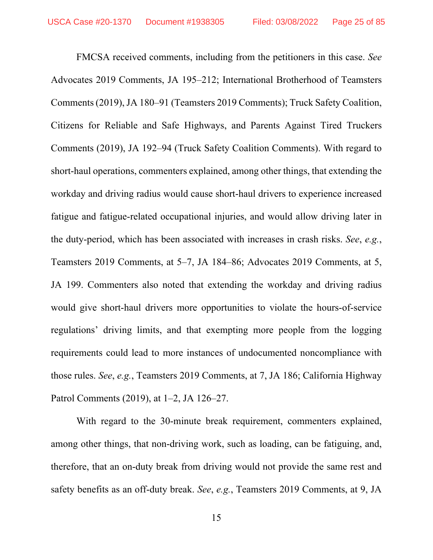FMCSA received comments, including from the petitioners in this case. *See* Advocates 2019 Comments, JA 195–212; International Brotherhood of Teamsters Comments (2019), JA 180–91 (Teamsters 2019 Comments); Truck Safety Coalition, Citizens for Reliable and Safe Highways, and Parents Against Tired Truckers Comments (2019), JA 192–94 (Truck Safety Coalition Comments). With regard to short-haul operations, commenters explained, among other things, that extending the workday and driving radius would cause short-haul drivers to experience increased fatigue and fatigue-related occupational injuries, and would allow driving later in the duty-period, which has been associated with increases in crash risks. *See*, *e.g.*, Teamsters 2019 Comments, at 5–7, JA 184–86; Advocates 2019 Comments, at 5, JA 199. Commenters also noted that extending the workday and driving radius would give short-haul drivers more opportunities to violate the hours-of-service regulations' driving limits, and that exempting more people from the logging requirements could lead to more instances of undocumented noncompliance with those rules. *See*, *e.g.*, Teamsters 2019 Comments, at 7, JA 186; California Highway Patrol Comments (2019), at 1–2, JA 126–27.

With regard to the 30-minute break requirement, commenters explained, among other things, that non-driving work, such as loading, can be fatiguing, and, therefore, that an on-duty break from driving would not provide the same rest and safety benefits as an off-duty break. *See*, *e.g.*, Teamsters 2019 Comments, at 9, JA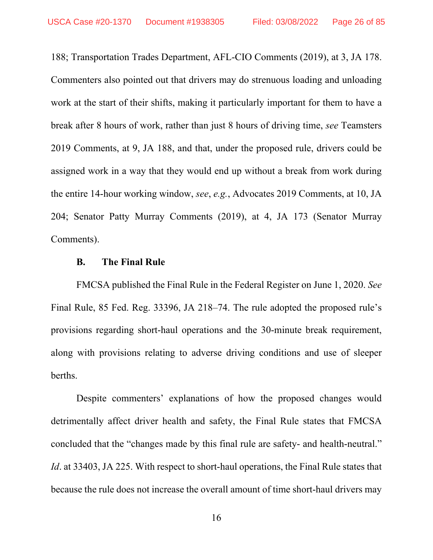188; Transportation Trades Department, AFL-CIO Comments (2019), at 3, JA 178. Commenters also pointed out that drivers may do strenuous loading and unloading work at the start of their shifts, making it particularly important for them to have a break after 8 hours of work, rather than just 8 hours of driving time, *see* Teamsters 2019 Comments, at 9, JA 188, and that, under the proposed rule, drivers could be assigned work in a way that they would end up without a break from work during the entire 14-hour working window, *see*, *e.g.*, Advocates 2019 Comments, at 10, JA 204; Senator Patty Murray Comments (2019), at 4, JA 173 (Senator Murray Comments).

### **B. The Final Rule**

FMCSA published the Final Rule in the Federal Register on June 1, 2020. *See*  Final Rule, 85 Fed. Reg. 33396, JA 218–74. The rule adopted the proposed rule's provisions regarding short-haul operations and the 30-minute break requirement, along with provisions relating to adverse driving conditions and use of sleeper berths.

Despite commenters' explanations of how the proposed changes would detrimentally affect driver health and safety, the Final Rule states that FMCSA concluded that the "changes made by this final rule are safety- and health-neutral." *Id*. at 33403, JA 225. With respect to short-haul operations, the Final Rule states that because the rule does not increase the overall amount of time short-haul drivers may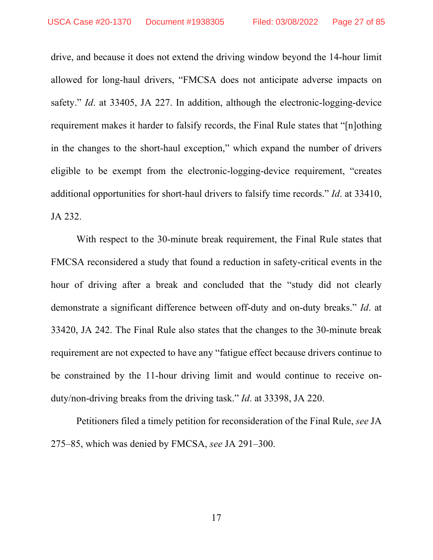drive, and because it does not extend the driving window beyond the 14-hour limit allowed for long-haul drivers, "FMCSA does not anticipate adverse impacts on safety." *Id*. at 33405, JA 227. In addition, although the electronic-logging-device requirement makes it harder to falsify records, the Final Rule states that "[n]othing in the changes to the short-haul exception," which expand the number of drivers eligible to be exempt from the electronic-logging-device requirement, "creates additional opportunities for short-haul drivers to falsify time records." *Id*. at 33410, JA 232.

With respect to the 30-minute break requirement, the Final Rule states that FMCSA reconsidered a study that found a reduction in safety-critical events in the hour of driving after a break and concluded that the "study did not clearly demonstrate a significant difference between off-duty and on-duty breaks." *Id*. at 33420, JA 242. The Final Rule also states that the changes to the 30-minute break requirement are not expected to have any "fatigue effect because drivers continue to be constrained by the 11-hour driving limit and would continue to receive onduty/non-driving breaks from the driving task." *Id*. at 33398, JA 220.

Petitioners filed a timely petition for reconsideration of the Final Rule, *see* JA 275–85, which was denied by FMCSA, *see* JA 291–300.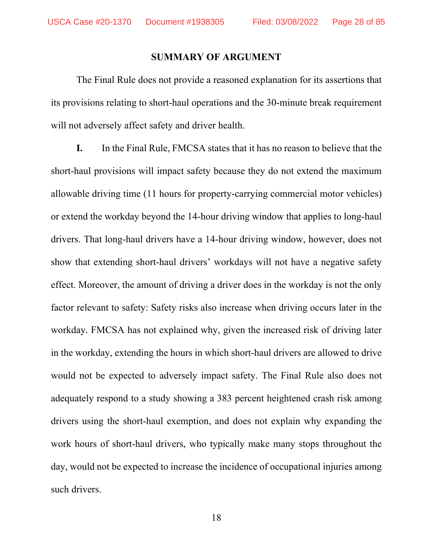#### **SUMMARY OF ARGUMENT**

The Final Rule does not provide a reasoned explanation for its assertions that its provisions relating to short-haul operations and the 30-minute break requirement will not adversely affect safety and driver health.

**I.** In the Final Rule, FMCSA states that it has no reason to believe that the short-haul provisions will impact safety because they do not extend the maximum allowable driving time (11 hours for property-carrying commercial motor vehicles) or extend the workday beyond the 14-hour driving window that applies to long-haul drivers. That long-haul drivers have a 14-hour driving window, however, does not show that extending short-haul drivers' workdays will not have a negative safety effect. Moreover, the amount of driving a driver does in the workday is not the only factor relevant to safety: Safety risks also increase when driving occurs later in the workday. FMCSA has not explained why, given the increased risk of driving later in the workday, extending the hours in which short-haul drivers are allowed to drive would not be expected to adversely impact safety. The Final Rule also does not adequately respond to a study showing a 383 percent heightened crash risk among drivers using the short-haul exemption, and does not explain why expanding the work hours of short-haul drivers, who typically make many stops throughout the day, would not be expected to increase the incidence of occupational injuries among such drivers.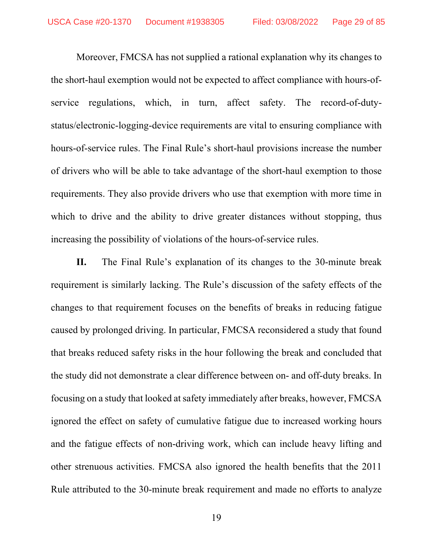Moreover, FMCSA has not supplied a rational explanation why its changes to the short-haul exemption would not be expected to affect compliance with hours-ofservice regulations, which, in turn, affect safety. The record-of-dutystatus/electronic-logging-device requirements are vital to ensuring compliance with hours-of-service rules. The Final Rule's short-haul provisions increase the number of drivers who will be able to take advantage of the short-haul exemption to those requirements. They also provide drivers who use that exemption with more time in which to drive and the ability to drive greater distances without stopping, thus increasing the possibility of violations of the hours-of-service rules.

**II.** The Final Rule's explanation of its changes to the 30-minute break requirement is similarly lacking. The Rule's discussion of the safety effects of the changes to that requirement focuses on the benefits of breaks in reducing fatigue caused by prolonged driving. In particular, FMCSA reconsidered a study that found that breaks reduced safety risks in the hour following the break and concluded that the study did not demonstrate a clear difference between on- and off-duty breaks. In focusing on a study that looked at safety immediately after breaks, however, FMCSA ignored the effect on safety of cumulative fatigue due to increased working hours and the fatigue effects of non-driving work, which can include heavy lifting and other strenuous activities. FMCSA also ignored the health benefits that the 2011 Rule attributed to the 30-minute break requirement and made no efforts to analyze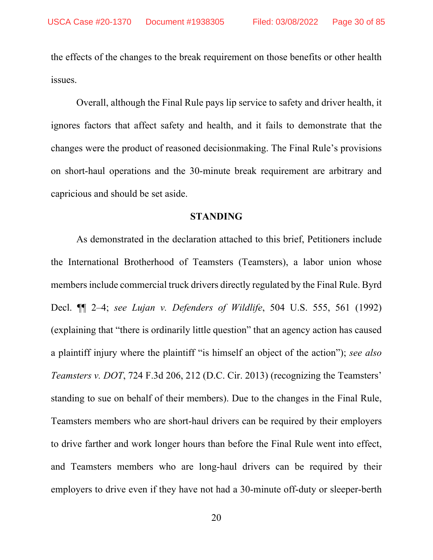the effects of the changes to the break requirement on those benefits or other health issues.

Overall, although the Final Rule pays lip service to safety and driver health, it ignores factors that affect safety and health, and it fails to demonstrate that the changes were the product of reasoned decisionmaking. The Final Rule's provisions on short-haul operations and the 30-minute break requirement are arbitrary and capricious and should be set aside.

#### **STANDING**

As demonstrated in the declaration attached to this brief, Petitioners include the International Brotherhood of Teamsters (Teamsters), a labor union whose members include commercial truck drivers directly regulated by the Final Rule. Byrd Decl. ¶¶ 2–4; *see Lujan v. Defenders of Wildlife*, 504 U.S. 555, 561 (1992) (explaining that "there is ordinarily little question" that an agency action has caused a plaintiff injury where the plaintiff "is himself an object of the action"); *see also Teamsters v. DOT*, 724 F.3d 206, 212 (D.C. Cir. 2013) (recognizing the Teamsters' standing to sue on behalf of their members). Due to the changes in the Final Rule, Teamsters members who are short-haul drivers can be required by their employers to drive farther and work longer hours than before the Final Rule went into effect, and Teamsters members who are long-haul drivers can be required by their employers to drive even if they have not had a 30-minute off-duty or sleeper-berth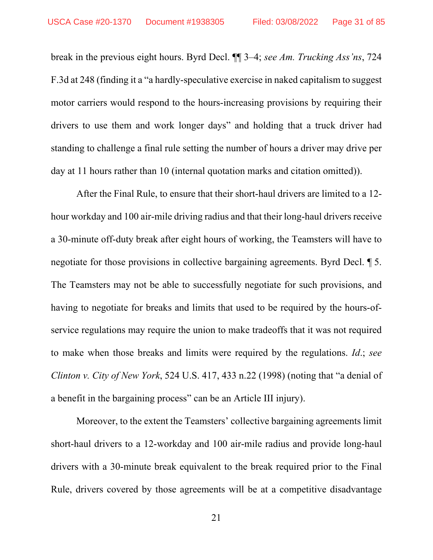break in the previous eight hours. Byrd Decl. ¶¶ 3–4; *see Am. Trucking Ass'ns*, 724 F.3d at 248 (finding it a "a hardly-speculative exercise in naked capitalism to suggest motor carriers would respond to the hours-increasing provisions by requiring their drivers to use them and work longer days" and holding that a truck driver had standing to challenge a final rule setting the number of hours a driver may drive per day at 11 hours rather than 10 (internal quotation marks and citation omitted)).

After the Final Rule, to ensure that their short-haul drivers are limited to a 12 hour workday and 100 air-mile driving radius and that their long-haul drivers receive a 30-minute off-duty break after eight hours of working, the Teamsters will have to negotiate for those provisions in collective bargaining agreements. Byrd Decl. ¶ 5. The Teamsters may not be able to successfully negotiate for such provisions, and having to negotiate for breaks and limits that used to be required by the hours-ofservice regulations may require the union to make tradeoffs that it was not required to make when those breaks and limits were required by the regulations. *Id*.; *see Clinton v. City of New York*, 524 U.S. 417, 433 n.22 (1998) (noting that "a denial of a benefit in the bargaining process" can be an Article III injury).

Moreover, to the extent the Teamsters' collective bargaining agreements limit short-haul drivers to a 12-workday and 100 air-mile radius and provide long-haul drivers with a 30-minute break equivalent to the break required prior to the Final Rule, drivers covered by those agreements will be at a competitive disadvantage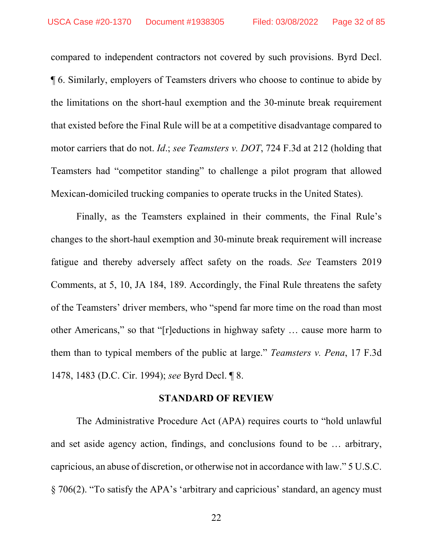compared to independent contractors not covered by such provisions. Byrd Decl. ¶ 6. Similarly, employers of Teamsters drivers who choose to continue to abide by the limitations on the short-haul exemption and the 30-minute break requirement that existed before the Final Rule will be at a competitive disadvantage compared to motor carriers that do not. *Id*.; *see Teamsters v. DOT*, 724 F.3d at 212 (holding that Teamsters had "competitor standing" to challenge a pilot program that allowed Mexican-domiciled trucking companies to operate trucks in the United States).

Finally, as the Teamsters explained in their comments, the Final Rule's changes to the short-haul exemption and 30-minute break requirement will increase fatigue and thereby adversely affect safety on the roads. *See* Teamsters 2019 Comments, at 5, 10, JA 184, 189. Accordingly, the Final Rule threatens the safety of the Teamsters' driver members, who "spend far more time on the road than most other Americans," so that "[r]eductions in highway safety … cause more harm to them than to typical members of the public at large." *Teamsters v. Pena*, 17 F.3d 1478, 1483 (D.C. Cir. 1994); *see* Byrd Decl. ¶ 8.

#### **STANDARD OF REVIEW**

The Administrative Procedure Act (APA) requires courts to "hold unlawful and set aside agency action, findings, and conclusions found to be … arbitrary, capricious, an abuse of discretion, or otherwise not in accordance with law." 5 U.S.C. § 706(2). "To satisfy the APA's 'arbitrary and capricious' standard, an agency must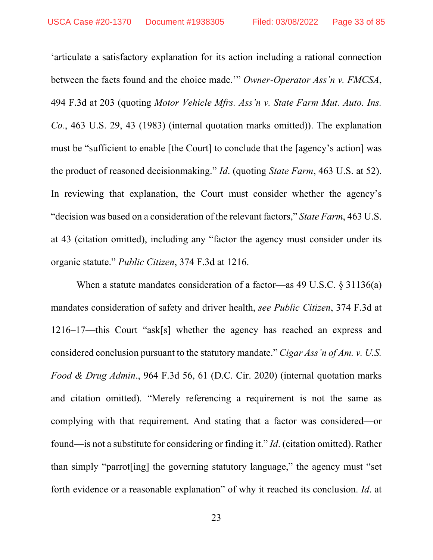'articulate a satisfactory explanation for its action including a rational connection between the facts found and the choice made.'" *Owner-Operator Ass'n v. FMCSA*, 494 F.3d at 203 (quoting *Motor Vehicle Mfrs. Ass'n v. State Farm Mut. Auto. Ins. Co.*, 463 U.S. 29, 43 (1983) (internal quotation marks omitted)). The explanation must be "sufficient to enable [the Court] to conclude that the [agency's action] was the product of reasoned decisionmaking." *Id*. (quoting *State Farm*, 463 U.S. at 52). In reviewing that explanation, the Court must consider whether the agency's "decision was based on a consideration of the relevant factors," *State Farm*, 463 U.S. at 43 (citation omitted), including any "factor the agency must consider under its organic statute." *Public Citizen*, 374 F.3d at 1216.

When a statute mandates consideration of a factor—as 49 U.S.C.  $\S 31136(a)$ mandates consideration of safety and driver health, *see Public Citizen*, 374 F.3d at 1216–17—this Court "ask[s] whether the agency has reached an express and considered conclusion pursuant to the statutory mandate." *Cigar Ass'n of Am. v. U.S. Food & Drug Admin*., 964 F.3d 56, 61 (D.C. Cir. 2020) (internal quotation marks and citation omitted). "Merely referencing a requirement is not the same as complying with that requirement. And stating that a factor was considered—or found—is not a substitute for considering or finding it." *Id*. (citation omitted). Rather than simply "parrot[ing] the governing statutory language," the agency must "set forth evidence or a reasonable explanation" of why it reached its conclusion. *Id*. at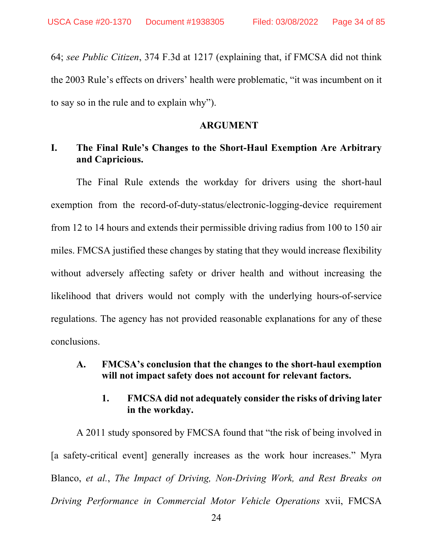64; *see Public Citizen*, 374 F.3d at 1217 (explaining that, if FMCSA did not think the 2003 Rule's effects on drivers' health were problematic, "it was incumbent on it to say so in the rule and to explain why").

### **ARGUMENT**

# **I. The Final Rule's Changes to the Short-Haul Exemption Are Arbitrary and Capricious.**

The Final Rule extends the workday for drivers using the short-haul exemption from the record-of-duty-status/electronic-logging-device requirement from 12 to 14 hours and extends their permissible driving radius from 100 to 150 air miles. FMCSA justified these changes by stating that they would increase flexibility without adversely affecting safety or driver health and without increasing the likelihood that drivers would not comply with the underlying hours-of-service regulations. The agency has not provided reasonable explanations for any of these conclusions.

## **A. FMCSA's conclusion that the changes to the short-haul exemption will not impact safety does not account for relevant factors.**

# **1. FMCSA did not adequately consider the risks of driving later in the workday.**

A 2011 study sponsored by FMCSA found that "the risk of being involved in [a safety-critical event] generally increases as the work hour increases." Myra Blanco, *et al.*, *The Impact of Driving, Non-Driving Work, and Rest Breaks on Driving Performance in Commercial Motor Vehicle Operations* xvii, FMCSA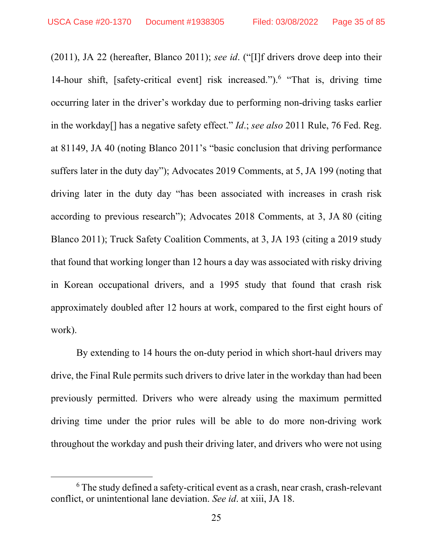(2011), JA 22 (hereafter, Blanco 2011); *see id*. ("[I]f drivers drove deep into their 14-hour shift, [safety-critical event] risk increased.").<sup>6</sup> "That is, driving time occurring later in the driver's workday due to performing non-driving tasks earlier in the workday[] has a negative safety effect." *Id*.; *see also* 2011 Rule, 76 Fed. Reg. at 81149, JA 40 (noting Blanco 2011's "basic conclusion that driving performance suffers later in the duty day"); Advocates 2019 Comments, at 5, JA 199 (noting that driving later in the duty day "has been associated with increases in crash risk according to previous research"); Advocates 2018 Comments, at 3, JA 80 (citing Blanco 2011); Truck Safety Coalition Comments, at 3, JA 193 (citing a 2019 study that found that working longer than 12 hours a day was associated with risky driving in Korean occupational drivers, and a 1995 study that found that crash risk approximately doubled after 12 hours at work, compared to the first eight hours of work).

By extending to 14 hours the on-duty period in which short-haul drivers may drive, the Final Rule permits such drivers to drive later in the workday than had been previously permitted. Drivers who were already using the maximum permitted driving time under the prior rules will be able to do more non-driving work throughout the workday and push their driving later, and drivers who were not using

<sup>6</sup> The study defined a safety-critical event as a crash, near crash, crash-relevant conflict, or unintentional lane deviation. *See id*. at xiii, JA 18.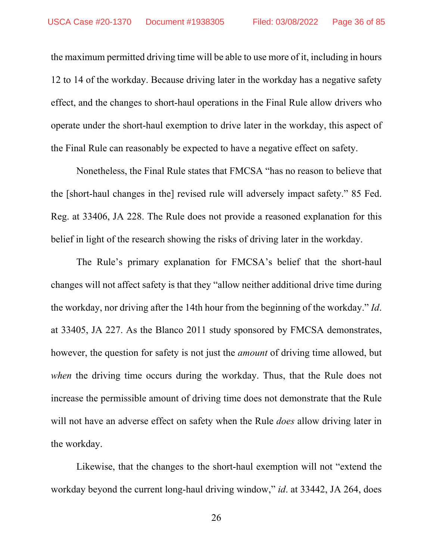the maximum permitted driving time will be able to use more of it, including in hours 12 to 14 of the workday. Because driving later in the workday has a negative safety effect, and the changes to short-haul operations in the Final Rule allow drivers who operate under the short-haul exemption to drive later in the workday, this aspect of the Final Rule can reasonably be expected to have a negative effect on safety.

Nonetheless, the Final Rule states that FMCSA "has no reason to believe that the [short-haul changes in the] revised rule will adversely impact safety." 85 Fed. Reg. at 33406, JA 228. The Rule does not provide a reasoned explanation for this belief in light of the research showing the risks of driving later in the workday.

The Rule's primary explanation for FMCSA's belief that the short-haul changes will not affect safety is that they "allow neither additional drive time during the workday, nor driving after the 14th hour from the beginning of the workday." *Id*. at 33405, JA 227. As the Blanco 2011 study sponsored by FMCSA demonstrates, however, the question for safety is not just the *amount* of driving time allowed, but *when* the driving time occurs during the workday. Thus, that the Rule does not increase the permissible amount of driving time does not demonstrate that the Rule will not have an adverse effect on safety when the Rule *does* allow driving later in the workday.

Likewise, that the changes to the short-haul exemption will not "extend the workday beyond the current long-haul driving window," *id*. at 33442, JA 264, does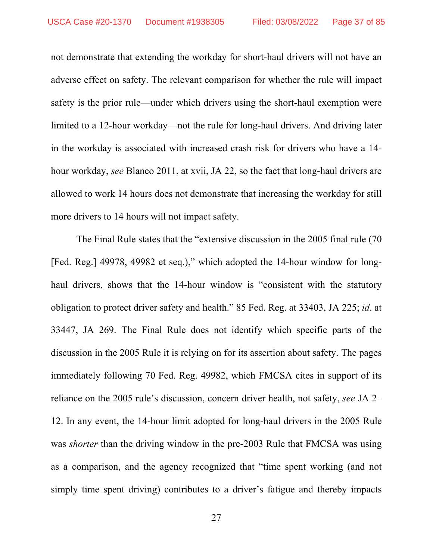not demonstrate that extending the workday for short-haul drivers will not have an adverse effect on safety. The relevant comparison for whether the rule will impact safety is the prior rule—under which drivers using the short-haul exemption were limited to a 12-hour workday—not the rule for long-haul drivers. And driving later in the workday is associated with increased crash risk for drivers who have a 14 hour workday, *see* Blanco 2011, at xvii, JA 22, so the fact that long-haul drivers are allowed to work 14 hours does not demonstrate that increasing the workday for still more drivers to 14 hours will not impact safety.

The Final Rule states that the "extensive discussion in the 2005 final rule (70 [Fed. Reg.] 49978, 49982 et seq.)," which adopted the 14-hour window for longhaul drivers, shows that the 14-hour window is "consistent with the statutory obligation to protect driver safety and health." 85 Fed. Reg. at 33403, JA 225; *id*. at 33447, JA 269. The Final Rule does not identify which specific parts of the discussion in the 2005 Rule it is relying on for its assertion about safety. The pages immediately following 70 Fed. Reg. 49982, which FMCSA cites in support of its reliance on the 2005 rule's discussion, concern driver health, not safety, *see* JA 2– 12. In any event, the 14-hour limit adopted for long-haul drivers in the 2005 Rule was *shorter* than the driving window in the pre-2003 Rule that FMCSA was using as a comparison, and the agency recognized that "time spent working (and not simply time spent driving) contributes to a driver's fatigue and thereby impacts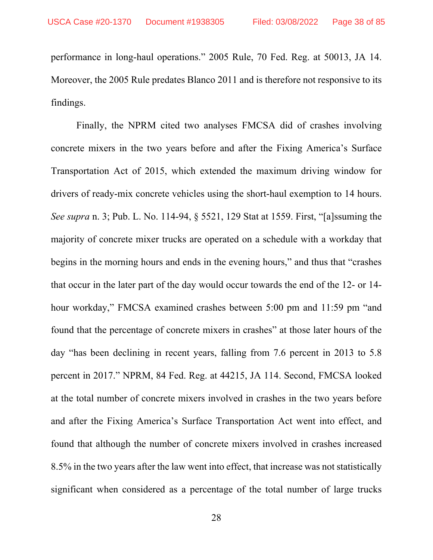performance in long-haul operations." 2005 Rule, 70 Fed. Reg. at 50013, JA 14. Moreover, the 2005 Rule predates Blanco 2011 and is therefore not responsive to its findings.

Finally, the NPRM cited two analyses FMCSA did of crashes involving concrete mixers in the two years before and after the Fixing America's Surface Transportation Act of 2015, which extended the maximum driving window for drivers of ready-mix concrete vehicles using the short-haul exemption to 14 hours. *See supra* n. 3; Pub. L. No. 114-94, § 5521, 129 Stat at 1559. First, "[a]ssuming the majority of concrete mixer trucks are operated on a schedule with a workday that begins in the morning hours and ends in the evening hours," and thus that "crashes that occur in the later part of the day would occur towards the end of the 12- or 14 hour workday," FMCSA examined crashes between 5:00 pm and 11:59 pm "and found that the percentage of concrete mixers in crashes" at those later hours of the day "has been declining in recent years, falling from 7.6 percent in 2013 to 5.8 percent in 2017." NPRM, 84 Fed. Reg. at 44215, JA 114. Second, FMCSA looked at the total number of concrete mixers involved in crashes in the two years before and after the Fixing America's Surface Transportation Act went into effect, and found that although the number of concrete mixers involved in crashes increased 8.5% in the two years after the law went into effect, that increase was not statistically significant when considered as a percentage of the total number of large trucks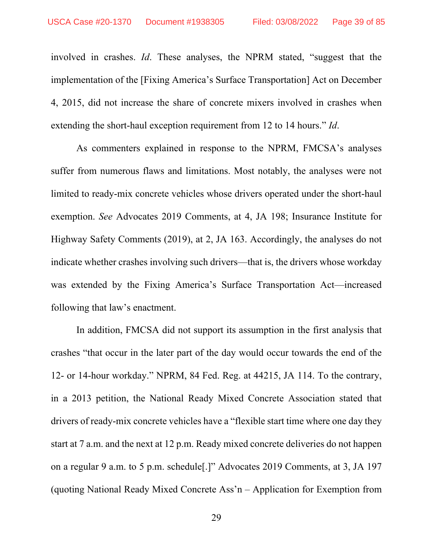involved in crashes. *Id*. These analyses, the NPRM stated, "suggest that the implementation of the [Fixing America's Surface Transportation] Act on December 4, 2015, did not increase the share of concrete mixers involved in crashes when extending the short-haul exception requirement from 12 to 14 hours." *Id*.

As commenters explained in response to the NPRM, FMCSA's analyses suffer from numerous flaws and limitations. Most notably, the analyses were not limited to ready-mix concrete vehicles whose drivers operated under the short-haul exemption. *See* Advocates 2019 Comments, at 4, JA 198; Insurance Institute for Highway Safety Comments (2019), at 2, JA 163. Accordingly, the analyses do not indicate whether crashes involving such drivers—that is, the drivers whose workday was extended by the Fixing America's Surface Transportation Act—increased following that law's enactment.

In addition, FMCSA did not support its assumption in the first analysis that crashes "that occur in the later part of the day would occur towards the end of the 12- or 14-hour workday." NPRM, 84 Fed. Reg. at 44215, JA 114. To the contrary, in a 2013 petition, the National Ready Mixed Concrete Association stated that drivers of ready-mix concrete vehicles have a "flexible start time where one day they start at 7 a.m. and the next at 12 p.m. Ready mixed concrete deliveries do not happen on a regular 9 a.m. to 5 p.m. schedule[.]" Advocates 2019 Comments, at 3, JA 197 (quoting National Ready Mixed Concrete Ass'n – Application for Exemption from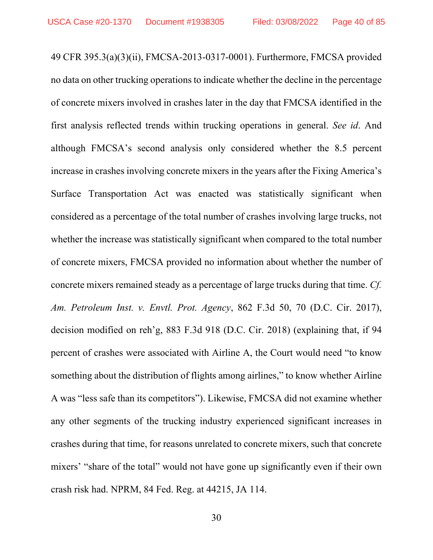49 CFR 395.3(a)(3)(ii), FMCSA-2013-0317-0001). Furthermore, FMCSA provided no data on other trucking operations to indicate whether the decline in the percentage of concrete mixers involved in crashes later in the day that FMCSA identified in the first analysis reflected trends within trucking operations in general. *See id*. And although FMCSA's second analysis only considered whether the 8.5 percent increase in crashes involving concrete mixers in the years after the Fixing America's Surface Transportation Act was enacted was statistically significant when considered as a percentage of the total number of crashes involving large trucks, not whether the increase was statistically significant when compared to the total number of concrete mixers, FMCSA provided no information about whether the number of concrete mixers remained steady as a percentage of large trucks during that time. *Cf. Am. Petroleum Inst. v. Envtl. Prot. Agency*, 862 F.3d 50, 70 (D.C. Cir. 2017), decision modified on reh'g, 883 F.3d 918 (D.C. Cir. 2018) (explaining that, if 94 percent of crashes were associated with Airline A, the Court would need "to know something about the distribution of flights among airlines," to know whether Airline A was "less safe than its competitors"). Likewise, FMCSA did not examine whether any other segments of the trucking industry experienced significant increases in crashes during that time, for reasons unrelated to concrete mixers, such that concrete mixers' "share of the total" would not have gone up significantly even if their own crash risk had. NPRM, 84 Fed. Reg. at 44215, JA 114.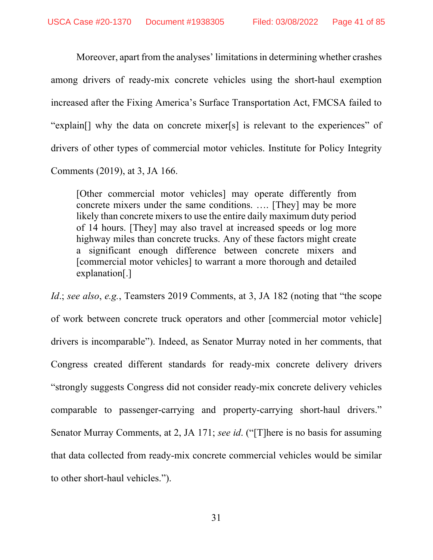Moreover, apart from the analyses' limitations in determining whether crashes among drivers of ready-mix concrete vehicles using the short-haul exemption increased after the Fixing America's Surface Transportation Act, FMCSA failed to "explain[] why the data on concrete mixer[s] is relevant to the experiences" of drivers of other types of commercial motor vehicles. Institute for Policy Integrity Comments (2019), at 3, JA 166.

[Other commercial motor vehicles] may operate differently from concrete mixers under the same conditions. …. [They] may be more likely than concrete mixers to use the entire daily maximum duty period of 14 hours. [They] may also travel at increased speeds or log more highway miles than concrete trucks. Any of these factors might create a significant enough difference between concrete mixers and [commercial motor vehicles] to warrant a more thorough and detailed explanation[.]

*Id*.; *see also*, *e.g.*, Teamsters 2019 Comments, at 3, JA 182 (noting that "the scope of work between concrete truck operators and other [commercial motor vehicle] drivers is incomparable"). Indeed, as Senator Murray noted in her comments, that Congress created different standards for ready-mix concrete delivery drivers "strongly suggests Congress did not consider ready-mix concrete delivery vehicles comparable to passenger-carrying and property-carrying short-haul drivers." Senator Murray Comments, at 2, JA 171; *see id*. ("[T]here is no basis for assuming that data collected from ready-mix concrete commercial vehicles would be similar to other short-haul vehicles.").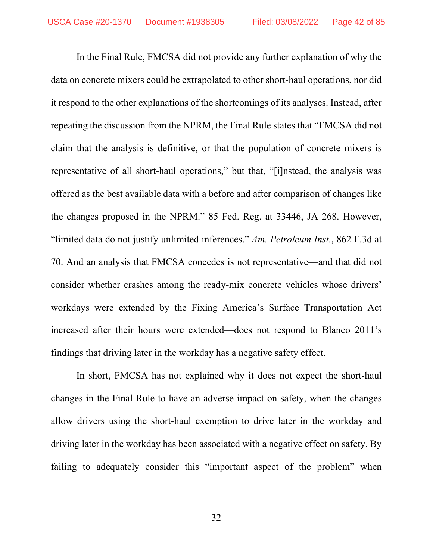In the Final Rule, FMCSA did not provide any further explanation of why the data on concrete mixers could be extrapolated to other short-haul operations, nor did it respond to the other explanations of the shortcomings of its analyses. Instead, after repeating the discussion from the NPRM, the Final Rule states that "FMCSA did not claim that the analysis is definitive, or that the population of concrete mixers is representative of all short-haul operations," but that, "[i]nstead, the analysis was offered as the best available data with a before and after comparison of changes like the changes proposed in the NPRM." 85 Fed. Reg. at 33446, JA 268. However, "limited data do not justify unlimited inferences." *Am. Petroleum Inst.*, 862 F.3d at 70. And an analysis that FMCSA concedes is not representative—and that did not consider whether crashes among the ready-mix concrete vehicles whose drivers' workdays were extended by the Fixing America's Surface Transportation Act increased after their hours were extended—does not respond to Blanco 2011's findings that driving later in the workday has a negative safety effect.

 In short, FMCSA has not explained why it does not expect the short-haul changes in the Final Rule to have an adverse impact on safety, when the changes allow drivers using the short-haul exemption to drive later in the workday and driving later in the workday has been associated with a negative effect on safety. By failing to adequately consider this "important aspect of the problem" when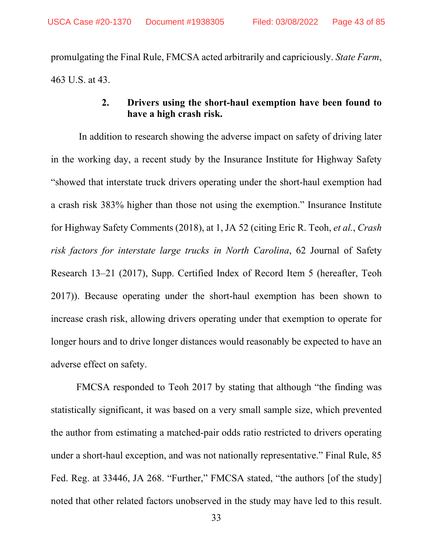promulgating the Final Rule, FMCSA acted arbitrarily and capriciously. *State Farm*, 463 U.S. at 43.

## **2. Drivers using the short-haul exemption have been found to have a high crash risk.**

 In addition to research showing the adverse impact on safety of driving later in the working day, a recent study by the Insurance Institute for Highway Safety "showed that interstate truck drivers operating under the short-haul exemption had a crash risk 383% higher than those not using the exemption." Insurance Institute for Highway Safety Comments (2018), at 1, JA 52 (citing Eric R. Teoh, *et al.*, *Crash risk factors for interstate large trucks in North Carolina*, 62 Journal of Safety Research 13–21 (2017), Supp. Certified Index of Record Item 5 (hereafter, Teoh 2017)). Because operating under the short-haul exemption has been shown to increase crash risk, allowing drivers operating under that exemption to operate for longer hours and to drive longer distances would reasonably be expected to have an adverse effect on safety.

 FMCSA responded to Teoh 2017 by stating that although "the finding was statistically significant, it was based on a very small sample size, which prevented the author from estimating a matched-pair odds ratio restricted to drivers operating under a short-haul exception, and was not nationally representative." Final Rule, 85 Fed. Reg. at 33446, JA 268. "Further," FMCSA stated, "the authors [of the study] noted that other related factors unobserved in the study may have led to this result.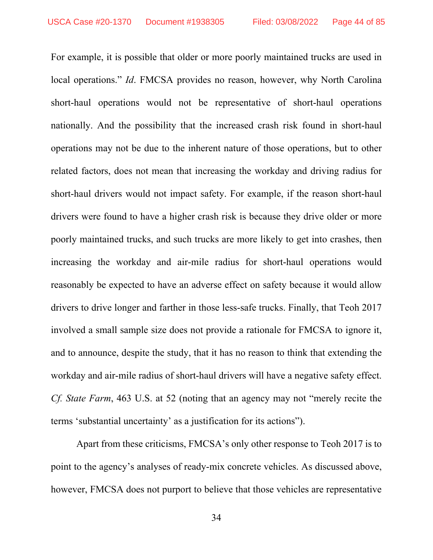For example, it is possible that older or more poorly maintained trucks are used in local operations." *Id*. FMCSA provides no reason, however, why North Carolina short-haul operations would not be representative of short-haul operations nationally. And the possibility that the increased crash risk found in short-haul operations may not be due to the inherent nature of those operations, but to other related factors, does not mean that increasing the workday and driving radius for short-haul drivers would not impact safety. For example, if the reason short-haul drivers were found to have a higher crash risk is because they drive older or more poorly maintained trucks, and such trucks are more likely to get into crashes, then increasing the workday and air-mile radius for short-haul operations would reasonably be expected to have an adverse effect on safety because it would allow drivers to drive longer and farther in those less-safe trucks. Finally, that Teoh 2017 involved a small sample size does not provide a rationale for FMCSA to ignore it, and to announce, despite the study, that it has no reason to think that extending the workday and air-mile radius of short-haul drivers will have a negative safety effect. *Cf. State Farm*, 463 U.S. at 52 (noting that an agency may not "merely recite the terms 'substantial uncertainty' as a justification for its actions").

 Apart from these criticisms, FMCSA's only other response to Teoh 2017 is to point to the agency's analyses of ready-mix concrete vehicles. As discussed above, however, FMCSA does not purport to believe that those vehicles are representative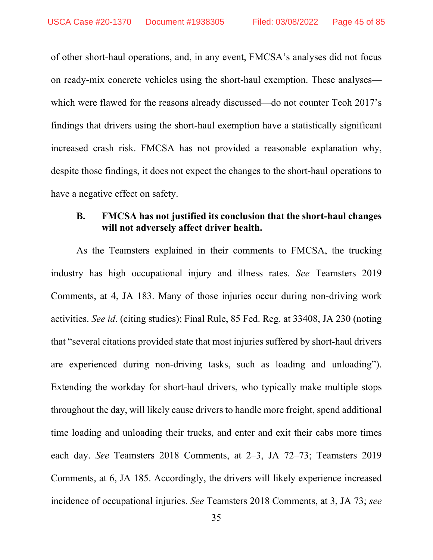of other short-haul operations, and, in any event, FMCSA's analyses did not focus on ready-mix concrete vehicles using the short-haul exemption. These analyses which were flawed for the reasons already discussed—do not counter Teoh 2017's findings that drivers using the short-haul exemption have a statistically significant increased crash risk. FMCSA has not provided a reasonable explanation why, despite those findings, it does not expect the changes to the short-haul operations to have a negative effect on safety.

## **B. FMCSA has not justified its conclusion that the short-haul changes will not adversely affect driver health.**

As the Teamsters explained in their comments to FMCSA, the trucking industry has high occupational injury and illness rates. *See* Teamsters 2019 Comments, at 4, JA 183. Many of those injuries occur during non-driving work activities. *See id*. (citing studies); Final Rule, 85 Fed. Reg. at 33408, JA 230 (noting that "several citations provided state that most injuries suffered by short-haul drivers are experienced during non-driving tasks, such as loading and unloading"). Extending the workday for short-haul drivers, who typically make multiple stops throughout the day, will likely cause drivers to handle more freight, spend additional time loading and unloading their trucks, and enter and exit their cabs more times each day. *See* Teamsters 2018 Comments, at 2–3, JA 72–73; Teamsters 2019 Comments, at 6, JA 185. Accordingly, the drivers will likely experience increased incidence of occupational injuries. *See* Teamsters 2018 Comments, at 3, JA 73; *see*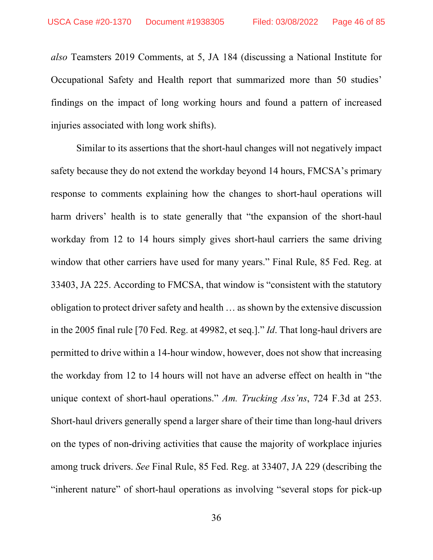*also* Teamsters 2019 Comments, at 5, JA 184 (discussing a National Institute for Occupational Safety and Health report that summarized more than 50 studies' findings on the impact of long working hours and found a pattern of increased injuries associated with long work shifts).

Similar to its assertions that the short-haul changes will not negatively impact safety because they do not extend the workday beyond 14 hours, FMCSA's primary response to comments explaining how the changes to short-haul operations will harm drivers' health is to state generally that "the expansion of the short-haul workday from 12 to 14 hours simply gives short-haul carriers the same driving window that other carriers have used for many years." Final Rule, 85 Fed. Reg. at 33403, JA 225. According to FMCSA, that window is "consistent with the statutory obligation to protect driver safety and health … as shown by the extensive discussion in the 2005 final rule [70 Fed. Reg. at 49982, et seq.]." *Id*. That long-haul drivers are permitted to drive within a 14-hour window, however, does not show that increasing the workday from 12 to 14 hours will not have an adverse effect on health in "the unique context of short-haul operations." *Am. Trucking Ass'ns*, 724 F.3d at 253. Short-haul drivers generally spend a larger share of their time than long-haul drivers on the types of non-driving activities that cause the majority of workplace injuries among truck drivers. *See* Final Rule, 85 Fed. Reg. at 33407, JA 229 (describing the "inherent nature" of short-haul operations as involving "several stops for pick-up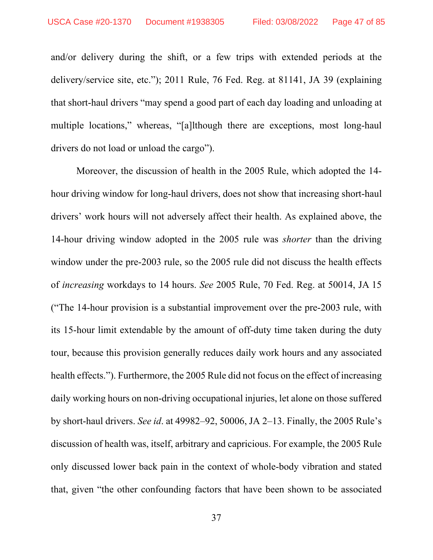and/or delivery during the shift, or a few trips with extended periods at the delivery/service site, etc."); 2011 Rule, 76 Fed. Reg. at 81141, JA 39 (explaining that short-haul drivers "may spend a good part of each day loading and unloading at multiple locations," whereas, "[a]lthough there are exceptions, most long-haul drivers do not load or unload the cargo").

Moreover, the discussion of health in the 2005 Rule, which adopted the 14 hour driving window for long-haul drivers, does not show that increasing short-haul drivers' work hours will not adversely affect their health. As explained above, the 14-hour driving window adopted in the 2005 rule was *shorter* than the driving window under the pre-2003 rule, so the 2005 rule did not discuss the health effects of *increasing* workdays to 14 hours. *See* 2005 Rule, 70 Fed. Reg. at 50014, JA 15 ("The 14-hour provision is a substantial improvement over the pre-2003 rule, with its 15-hour limit extendable by the amount of off-duty time taken during the duty tour, because this provision generally reduces daily work hours and any associated health effects."). Furthermore, the 2005 Rule did not focus on the effect of increasing daily working hours on non-driving occupational injuries, let alone on those suffered by short-haul drivers. *See id*. at 49982–92, 50006, JA 2–13. Finally, the 2005 Rule's discussion of health was, itself, arbitrary and capricious. For example, the 2005 Rule only discussed lower back pain in the context of whole-body vibration and stated that, given "the other confounding factors that have been shown to be associated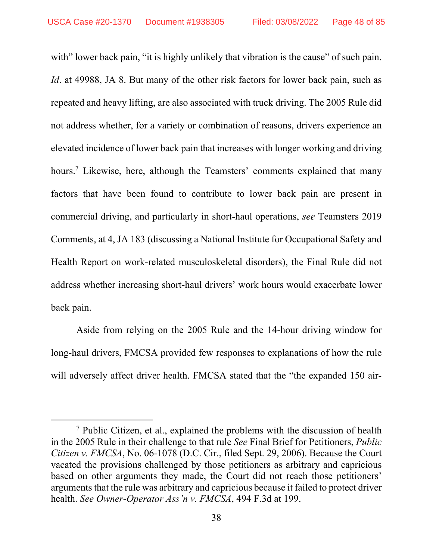with" lower back pain, "it is highly unlikely that vibration is the cause" of such pain. *Id*. at 49988, JA 8. But many of the other risk factors for lower back pain, such as repeated and heavy lifting, are also associated with truck driving. The 2005 Rule did not address whether, for a variety or combination of reasons, drivers experience an elevated incidence of lower back pain that increases with longer working and driving hours.<sup>7</sup> Likewise, here, although the Teamsters' comments explained that many factors that have been found to contribute to lower back pain are present in commercial driving, and particularly in short-haul operations, *see* Teamsters 2019 Comments, at 4, JA 183 (discussing a National Institute for Occupational Safety and Health Report on work-related musculoskeletal disorders), the Final Rule did not address whether increasing short-haul drivers' work hours would exacerbate lower back pain.

Aside from relying on the 2005 Rule and the 14-hour driving window for long-haul drivers, FMCSA provided few responses to explanations of how the rule will adversely affect driver health. FMCSA stated that the "the expanded 150 air-

<sup>&</sup>lt;sup>7</sup> Public Citizen, et al., explained the problems with the discussion of health in the 2005 Rule in their challenge to that rule *See* Final Brief for Petitioners, *Public Citizen v. FMCSA*, No. 06-1078 (D.C. Cir., filed Sept. 29, 2006). Because the Court vacated the provisions challenged by those petitioners as arbitrary and capricious based on other arguments they made, the Court did not reach those petitioners' arguments that the rule was arbitrary and capricious because it failed to protect driver health. *See Owner-Operator Ass'n v. FMCSA*, 494 F.3d at 199.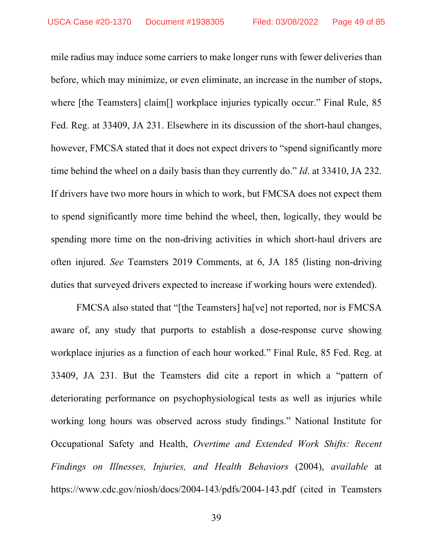mile radius may induce some carriers to make longer runs with fewer deliveries than before, which may minimize, or even eliminate, an increase in the number of stops, where [the Teamsters] claim<sup>[]</sup> workplace injuries typically occur." Final Rule, 85 Fed. Reg. at 33409, JA 231. Elsewhere in its discussion of the short-haul changes, however, FMCSA stated that it does not expect drivers to "spend significantly more time behind the wheel on a daily basis than they currently do." *Id*. at 33410, JA 232. If drivers have two more hours in which to work, but FMCSA does not expect them to spend significantly more time behind the wheel, then, logically, they would be spending more time on the non-driving activities in which short-haul drivers are often injured. *See* Teamsters 2019 Comments, at 6, JA 185 (listing non-driving duties that surveyed drivers expected to increase if working hours were extended).

FMCSA also stated that "[the Teamsters] ha[ve] not reported, nor is FMCSA aware of, any study that purports to establish a dose-response curve showing workplace injuries as a function of each hour worked." Final Rule, 85 Fed. Reg. at 33409, JA 231. But the Teamsters did cite a report in which a "pattern of deteriorating performance on psychophysiological tests as well as injuries while working long hours was observed across study findings." National Institute for Occupational Safety and Health, *Overtime and Extended Work Shifts: Recent Findings on Illnesses, Injuries, and Health Behaviors* (2004), *available* at https://www.cdc.gov/niosh/docs/2004-143/pdfs/2004-143.pdf (cited in Teamsters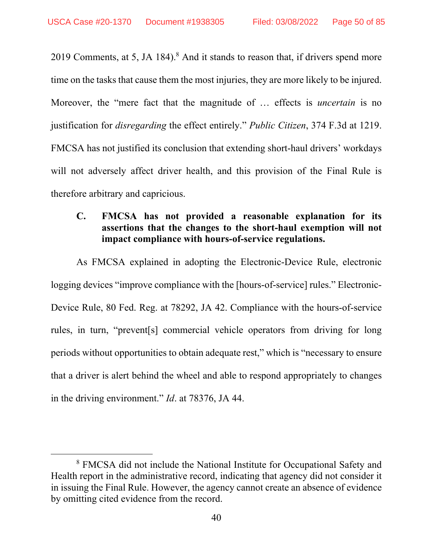2019 Comments, at 5, JA 184).<sup>8</sup> And it stands to reason that, if drivers spend more time on the tasks that cause them the most injuries, they are more likely to be injured. Moreover, the "mere fact that the magnitude of … effects is *uncertain* is no justification for *disregarding* the effect entirely." *Public Citizen*, 374 F.3d at 1219. FMCSA has not justified its conclusion that extending short-haul drivers' workdays will not adversely affect driver health, and this provision of the Final Rule is therefore arbitrary and capricious.

## **C. FMCSA has not provided a reasonable explanation for its assertions that the changes to the short-haul exemption will not impact compliance with hours-of-service regulations.**

As FMCSA explained in adopting the Electronic-Device Rule, electronic logging devices "improve compliance with the [hours-of-service] rules." Electronic-Device Rule, 80 Fed. Reg. at 78292, JA 42. Compliance with the hours-of-service rules, in turn, "prevent[s] commercial vehicle operators from driving for long periods without opportunities to obtain adequate rest," which is "necessary to ensure that a driver is alert behind the wheel and able to respond appropriately to changes in the driving environment." *Id*. at 78376, JA 44.

<sup>&</sup>lt;sup>8</sup> FMCSA did not include the National Institute for Occupational Safety and Health report in the administrative record, indicating that agency did not consider it in issuing the Final Rule. However, the agency cannot create an absence of evidence by omitting cited evidence from the record.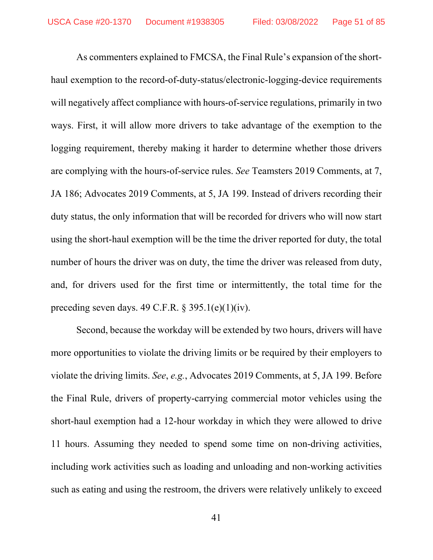As commenters explained to FMCSA, the Final Rule's expansion of the shorthaul exemption to the record-of-duty-status/electronic-logging-device requirements will negatively affect compliance with hours-of-service regulations, primarily in two ways. First, it will allow more drivers to take advantage of the exemption to the logging requirement, thereby making it harder to determine whether those drivers are complying with the hours-of-service rules. *See* Teamsters 2019 Comments, at 7, JA 186; Advocates 2019 Comments, at 5, JA 199. Instead of drivers recording their duty status, the only information that will be recorded for drivers who will now start using the short-haul exemption will be the time the driver reported for duty, the total number of hours the driver was on duty, the time the driver was released from duty, and, for drivers used for the first time or intermittently, the total time for the preceding seven days. 49 C.F.R.  $\S 395.1(e)(1)(iv)$ .

Second, because the workday will be extended by two hours, drivers will have more opportunities to violate the driving limits or be required by their employers to violate the driving limits. *See*, *e.g.*, Advocates 2019 Comments, at 5, JA 199. Before the Final Rule, drivers of property-carrying commercial motor vehicles using the short-haul exemption had a 12-hour workday in which they were allowed to drive 11 hours. Assuming they needed to spend some time on non-driving activities, including work activities such as loading and unloading and non-working activities such as eating and using the restroom, the drivers were relatively unlikely to exceed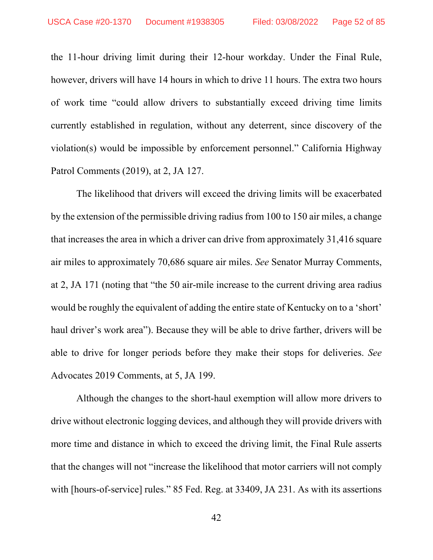the 11-hour driving limit during their 12-hour workday. Under the Final Rule, however, drivers will have 14 hours in which to drive 11 hours. The extra two hours of work time "could allow drivers to substantially exceed driving time limits currently established in regulation, without any deterrent, since discovery of the violation(s) would be impossible by enforcement personnel." California Highway Patrol Comments (2019), at 2, JA 127.

The likelihood that drivers will exceed the driving limits will be exacerbated by the extension of the permissible driving radius from 100 to 150 air miles, a change that increases the area in which a driver can drive from approximately 31,416 square air miles to approximately 70,686 square air miles. *See* Senator Murray Comments, at 2, JA 171 (noting that "the 50 air-mile increase to the current driving area radius would be roughly the equivalent of adding the entire state of Kentucky on to a 'short' haul driver's work area"). Because they will be able to drive farther, drivers will be able to drive for longer periods before they make their stops for deliveries. *See*  Advocates 2019 Comments, at 5, JA 199.

Although the changes to the short-haul exemption will allow more drivers to drive without electronic logging devices, and although they will provide drivers with more time and distance in which to exceed the driving limit, the Final Rule asserts that the changes will not "increase the likelihood that motor carriers will not comply with [hours-of-service] rules." 85 Fed. Reg. at 33409, JA 231. As with its assertions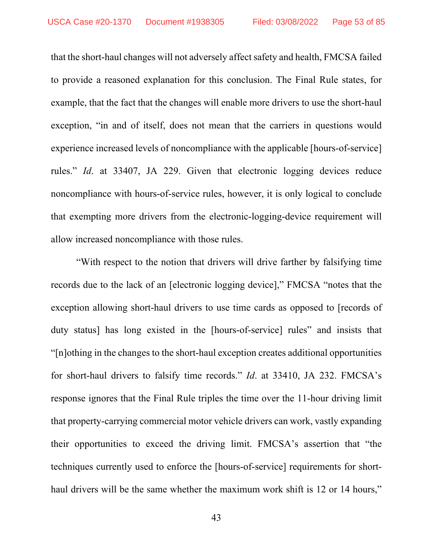that the short-haul changes will not adversely affect safety and health, FMCSA failed to provide a reasoned explanation for this conclusion. The Final Rule states, for example, that the fact that the changes will enable more drivers to use the short-haul exception, "in and of itself, does not mean that the carriers in questions would experience increased levels of noncompliance with the applicable [hours-of-service] rules." *Id*. at 33407, JA 229. Given that electronic logging devices reduce noncompliance with hours-of-service rules, however, it is only logical to conclude that exempting more drivers from the electronic-logging-device requirement will allow increased noncompliance with those rules.

"With respect to the notion that drivers will drive farther by falsifying time records due to the lack of an [electronic logging device]," FMCSA "notes that the exception allowing short-haul drivers to use time cards as opposed to [records of duty status] has long existed in the [hours-of-service] rules" and insists that "[n]othing in the changes to the short-haul exception creates additional opportunities for short-haul drivers to falsify time records." *Id*. at 33410, JA 232. FMCSA's response ignores that the Final Rule triples the time over the 11-hour driving limit that property-carrying commercial motor vehicle drivers can work, vastly expanding their opportunities to exceed the driving limit. FMCSA's assertion that "the techniques currently used to enforce the [hours-of-service] requirements for shorthaul drivers will be the same whether the maximum work shift is 12 or 14 hours,"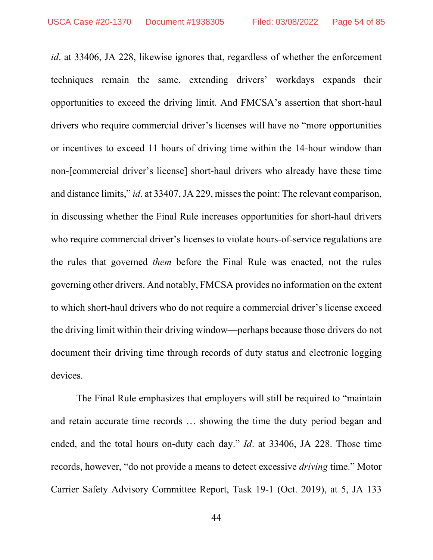*id*. at 33406, JA 228, likewise ignores that, regardless of whether the enforcement techniques remain the same, extending drivers' workdays expands their opportunities to exceed the driving limit. And FMCSA's assertion that short-haul drivers who require commercial driver's licenses will have no "more opportunities or incentives to exceed 11 hours of driving time within the 14-hour window than non-[commercial driver's license] short-haul drivers who already have these time and distance limits," *id*. at 33407, JA 229, misses the point: The relevant comparison, in discussing whether the Final Rule increases opportunities for short-haul drivers who require commercial driver's licenses to violate hours-of-service regulations are the rules that governed *them* before the Final Rule was enacted, not the rules governing other drivers. And notably, FMCSA provides no information on the extent to which short-haul drivers who do not require a commercial driver's license exceed the driving limit within their driving window—perhaps because those drivers do not document their driving time through records of duty status and electronic logging devices.

The Final Rule emphasizes that employers will still be required to "maintain and retain accurate time records … showing the time the duty period began and ended, and the total hours on-duty each day." *Id*. at 33406, JA 228. Those time records, however, "do not provide a means to detect excessive *driving* time." Motor Carrier Safety Advisory Committee Report, Task 19-1 (Oct. 2019), at 5, JA 133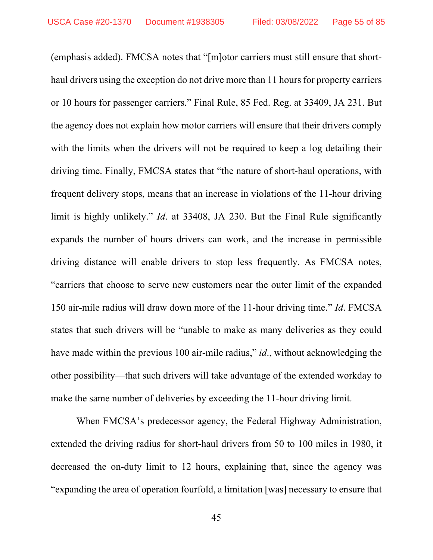(emphasis added). FMCSA notes that "[m]otor carriers must still ensure that shorthaul drivers using the exception do not drive more than 11 hours for property carriers or 10 hours for passenger carriers." Final Rule, 85 Fed. Reg. at 33409, JA 231. But the agency does not explain how motor carriers will ensure that their drivers comply with the limits when the drivers will not be required to keep a log detailing their driving time. Finally, FMCSA states that "the nature of short-haul operations, with frequent delivery stops, means that an increase in violations of the 11-hour driving limit is highly unlikely." *Id*. at 33408, JA 230. But the Final Rule significantly expands the number of hours drivers can work, and the increase in permissible driving distance will enable drivers to stop less frequently. As FMCSA notes, "carriers that choose to serve new customers near the outer limit of the expanded 150 air-mile radius will draw down more of the 11-hour driving time." *Id*. FMCSA states that such drivers will be "unable to make as many deliveries as they could have made within the previous 100 air-mile radius," *id*., without acknowledging the other possibility—that such drivers will take advantage of the extended workday to make the same number of deliveries by exceeding the 11-hour driving limit.

When FMCSA's predecessor agency, the Federal Highway Administration, extended the driving radius for short-haul drivers from 50 to 100 miles in 1980, it decreased the on-duty limit to 12 hours, explaining that, since the agency was "expanding the area of operation fourfold, a limitation [was] necessary to ensure that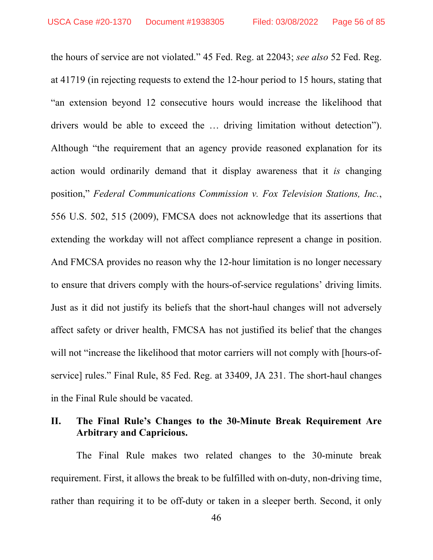the hours of service are not violated." 45 Fed. Reg. at 22043; *see also* 52 Fed. Reg. at 41719 (in rejecting requests to extend the 12-hour period to 15 hours, stating that "an extension beyond 12 consecutive hours would increase the likelihood that drivers would be able to exceed the … driving limitation without detection"). Although "the requirement that an agency provide reasoned explanation for its action would ordinarily demand that it display awareness that it *is* changing position," *Federal Communications Commission v. Fox Television Stations, Inc.*, 556 U.S. 502, 515 (2009), FMCSA does not acknowledge that its assertions that extending the workday will not affect compliance represent a change in position. And FMCSA provides no reason why the 12-hour limitation is no longer necessary to ensure that drivers comply with the hours-of-service regulations' driving limits. Just as it did not justify its beliefs that the short-haul changes will not adversely affect safety or driver health, FMCSA has not justified its belief that the changes will not "increase the likelihood that motor carriers will not comply with [hours-ofservice] rules." Final Rule, 85 Fed. Reg. at 33409, JA 231. The short-haul changes in the Final Rule should be vacated.

## **II. The Final Rule's Changes to the 30-Minute Break Requirement Are Arbitrary and Capricious.**

The Final Rule makes two related changes to the 30-minute break requirement. First, it allows the break to be fulfilled with on-duty, non-driving time, rather than requiring it to be off-duty or taken in a sleeper berth. Second, it only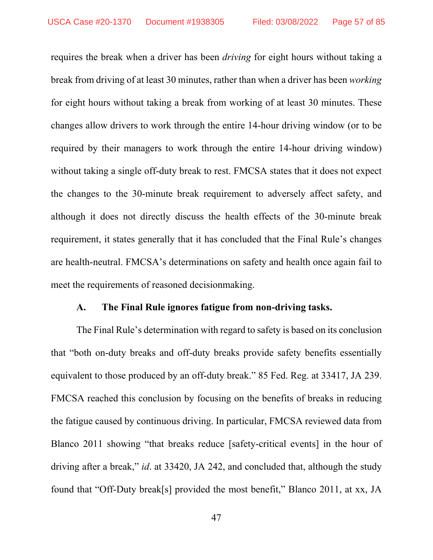requires the break when a driver has been *driving* for eight hours without taking a break from driving of at least 30 minutes, rather than when a driver has been *working* for eight hours without taking a break from working of at least 30 minutes. These changes allow drivers to work through the entire 14-hour driving window (or to be required by their managers to work through the entire 14-hour driving window) without taking a single off-duty break to rest. FMCSA states that it does not expect the changes to the 30-minute break requirement to adversely affect safety, and although it does not directly discuss the health effects of the 30-minute break requirement, it states generally that it has concluded that the Final Rule's changes are health-neutral. FMCSA's determinations on safety and health once again fail to meet the requirements of reasoned decisionmaking.

#### **A. The Final Rule ignores fatigue from non-driving tasks.**

The Final Rule's determination with regard to safety is based on its conclusion that "both on-duty breaks and off-duty breaks provide safety benefits essentially equivalent to those produced by an off-duty break." 85 Fed. Reg. at 33417, JA 239. FMCSA reached this conclusion by focusing on the benefits of breaks in reducing the fatigue caused by continuous driving. In particular, FMCSA reviewed data from Blanco 2011 showing "that breaks reduce [safety-critical events] in the hour of driving after a break," *id*. at 33420, JA 242, and concluded that, although the study found that "Off-Duty break[s] provided the most benefit," Blanco 2011, at xx, JA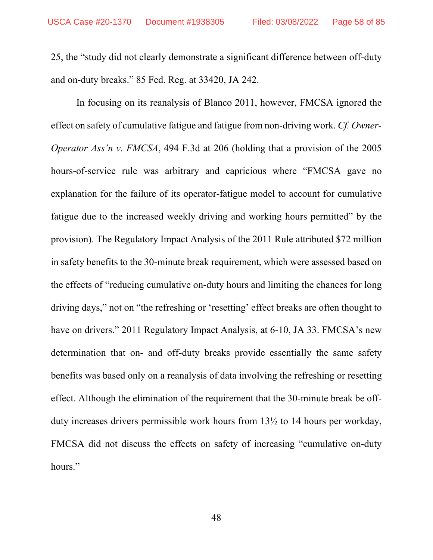25, the "study did not clearly demonstrate a significant difference between off-duty and on-duty breaks." 85 Fed. Reg. at 33420, JA 242.

In focusing on its reanalysis of Blanco 2011, however, FMCSA ignored the effect on safety of cumulative fatigue and fatigue from non-driving work. *Cf. Owner-Operator Ass'n v. FMCSA*, 494 F.3d at 206 (holding that a provision of the 2005 hours-of-service rule was arbitrary and capricious where "FMCSA gave no explanation for the failure of its operator-fatigue model to account for cumulative fatigue due to the increased weekly driving and working hours permitted" by the provision). The Regulatory Impact Analysis of the 2011 Rule attributed \$72 million in safety benefits to the 30-minute break requirement, which were assessed based on the effects of "reducing cumulative on-duty hours and limiting the chances for long driving days," not on "the refreshing or 'resetting' effect breaks are often thought to have on drivers." 2011 Regulatory Impact Analysis, at 6-10, JA 33. FMCSA's new determination that on- and off-duty breaks provide essentially the same safety benefits was based only on a reanalysis of data involving the refreshing or resetting effect. Although the elimination of the requirement that the 30-minute break be offduty increases drivers permissible work hours from 13½ to 14 hours per workday, FMCSA did not discuss the effects on safety of increasing "cumulative on-duty hours."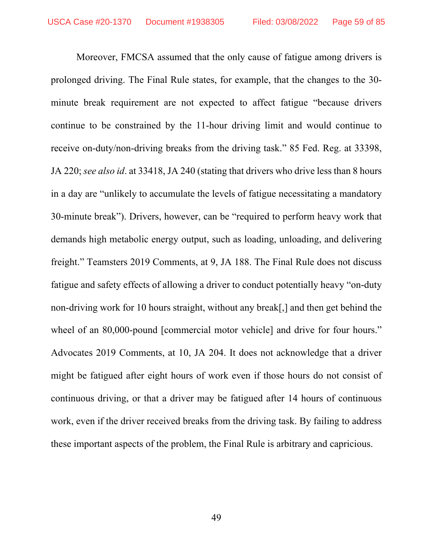Moreover, FMCSA assumed that the only cause of fatigue among drivers is prolonged driving. The Final Rule states, for example, that the changes to the 30 minute break requirement are not expected to affect fatigue "because drivers continue to be constrained by the 11-hour driving limit and would continue to receive on-duty/non-driving breaks from the driving task." 85 Fed. Reg. at 33398, JA 220; *see also id*. at 33418, JA 240 (stating that drivers who drive less than 8 hours in a day are "unlikely to accumulate the levels of fatigue necessitating a mandatory 30-minute break"). Drivers, however, can be "required to perform heavy work that demands high metabolic energy output, such as loading, unloading, and delivering freight." Teamsters 2019 Comments, at 9, JA 188. The Final Rule does not discuss fatigue and safety effects of allowing a driver to conduct potentially heavy "on-duty non-driving work for 10 hours straight, without any break[,] and then get behind the wheel of an 80,000-pound [commercial motor vehicle] and drive for four hours." Advocates 2019 Comments, at 10, JA 204. It does not acknowledge that a driver might be fatigued after eight hours of work even if those hours do not consist of continuous driving, or that a driver may be fatigued after 14 hours of continuous work, even if the driver received breaks from the driving task. By failing to address these important aspects of the problem, the Final Rule is arbitrary and capricious.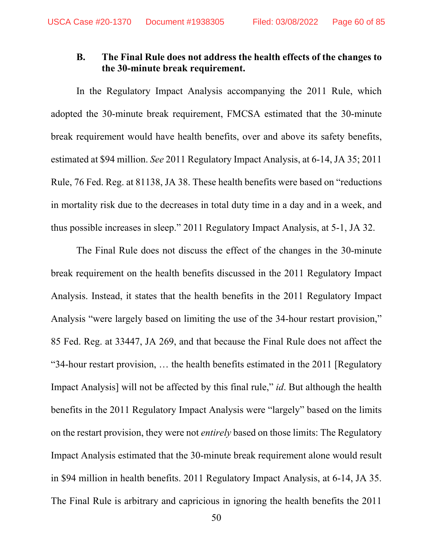## **B. The Final Rule does not address the health effects of the changes to the 30-minute break requirement.**

In the Regulatory Impact Analysis accompanying the 2011 Rule, which adopted the 30-minute break requirement, FMCSA estimated that the 30-minute break requirement would have health benefits, over and above its safety benefits, estimated at \$94 million. *See* 2011 Regulatory Impact Analysis, at 6-14, JA 35; 2011 Rule, 76 Fed. Reg. at 81138, JA 38. These health benefits were based on "reductions in mortality risk due to the decreases in total duty time in a day and in a week, and thus possible increases in sleep." 2011 Regulatory Impact Analysis, at 5-1, JA 32.

The Final Rule does not discuss the effect of the changes in the 30-minute break requirement on the health benefits discussed in the 2011 Regulatory Impact Analysis. Instead, it states that the health benefits in the 2011 Regulatory Impact Analysis "were largely based on limiting the use of the 34-hour restart provision," 85 Fed. Reg. at 33447, JA 269, and that because the Final Rule does not affect the "34-hour restart provision, … the health benefits estimated in the 2011 [Regulatory Impact Analysis] will not be affected by this final rule," *id*. But although the health benefits in the 2011 Regulatory Impact Analysis were "largely" based on the limits on the restart provision, they were not *entirely* based on those limits: The Regulatory Impact Analysis estimated that the 30-minute break requirement alone would result in \$94 million in health benefits. 2011 Regulatory Impact Analysis, at 6-14, JA 35. The Final Rule is arbitrary and capricious in ignoring the health benefits the 2011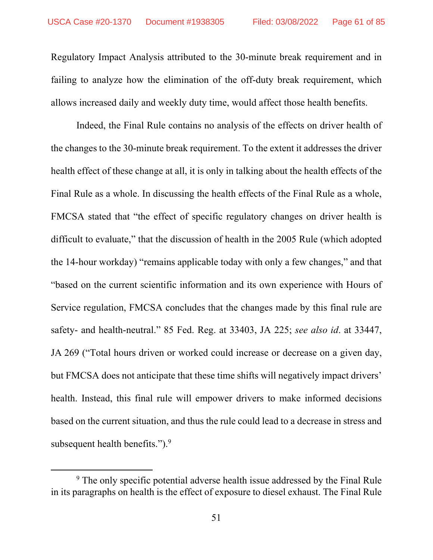Regulatory Impact Analysis attributed to the 30-minute break requirement and in failing to analyze how the elimination of the off-duty break requirement, which allows increased daily and weekly duty time, would affect those health benefits.

Indeed, the Final Rule contains no analysis of the effects on driver health of the changes to the 30-minute break requirement. To the extent it addresses the driver health effect of these change at all, it is only in talking about the health effects of the Final Rule as a whole. In discussing the health effects of the Final Rule as a whole, FMCSA stated that "the effect of specific regulatory changes on driver health is difficult to evaluate," that the discussion of health in the 2005 Rule (which adopted the 14-hour workday) "remains applicable today with only a few changes," and that "based on the current scientific information and its own experience with Hours of Service regulation, FMCSA concludes that the changes made by this final rule are safety- and health-neutral." 85 Fed. Reg. at 33403, JA 225; *see also id*. at 33447, JA 269 ("Total hours driven or worked could increase or decrease on a given day, but FMCSA does not anticipate that these time shifts will negatively impact drivers' health. Instead, this final rule will empower drivers to make informed decisions based on the current situation, and thus the rule could lead to a decrease in stress and subsequent health benefits."). $\frac{9}{5}$ 

<sup>&</sup>lt;sup>9</sup> The only specific potential adverse health issue addressed by the Final Rule in its paragraphs on health is the effect of exposure to diesel exhaust. The Final Rule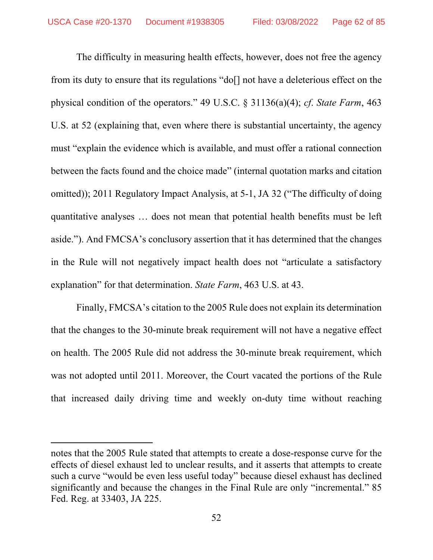The difficulty in measuring health effects, however, does not free the agency from its duty to ensure that its regulations "do[] not have a deleterious effect on the physical condition of the operators." 49 U.S.C. § 31136(a)(4); *cf*. *State Farm*, 463 U.S. at 52 (explaining that, even where there is substantial uncertainty, the agency must "explain the evidence which is available, and must offer a rational connection between the facts found and the choice made" (internal quotation marks and citation omitted)); 2011 Regulatory Impact Analysis, at 5-1, JA 32 ("The difficulty of doing quantitative analyses … does not mean that potential health benefits must be left aside."). And FMCSA's conclusory assertion that it has determined that the changes in the Rule will not negatively impact health does not "articulate a satisfactory explanation" for that determination. *State Farm*, 463 U.S. at 43.

Finally, FMCSA's citation to the 2005 Rule does not explain its determination that the changes to the 30-minute break requirement will not have a negative effect on health. The 2005 Rule did not address the 30-minute break requirement, which was not adopted until 2011. Moreover, the Court vacated the portions of the Rule that increased daily driving time and weekly on-duty time without reaching

notes that the 2005 Rule stated that attempts to create a dose-response curve for the effects of diesel exhaust led to unclear results, and it asserts that attempts to create such a curve "would be even less useful today" because diesel exhaust has declined significantly and because the changes in the Final Rule are only "incremental." 85 Fed. Reg. at 33403, JA 225.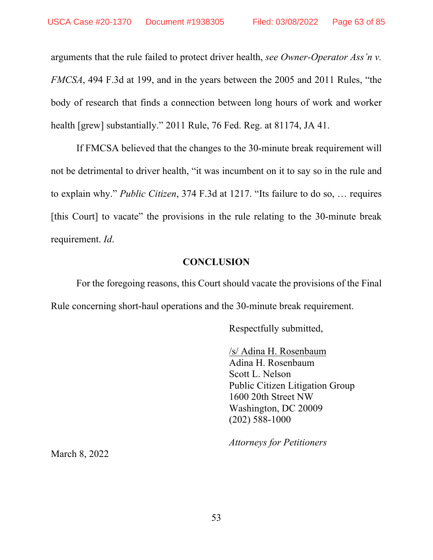arguments that the rule failed to protect driver health, *see Owner-Operator Ass'n v. FMCSA*, 494 F.3d at 199, and in the years between the 2005 and 2011 Rules, "the body of research that finds a connection between long hours of work and worker health [grew] substantially." 2011 Rule, 76 Fed. Reg. at 81174, JA 41.

If FMCSA believed that the changes to the 30-minute break requirement will not be detrimental to driver health, "it was incumbent on it to say so in the rule and to explain why." *Public Citizen*, 374 F.3d at 1217. "Its failure to do so, … requires [this Court] to vacate" the provisions in the rule relating to the 30-minute break requirement. *Id*.

## **CONCLUSION**

For the foregoing reasons, this Court should vacate the provisions of the Final Rule concerning short-haul operations and the 30-minute break requirement.

Respectfully submitted,

/s/ Adina H. Rosenbaum Adina H. Rosenbaum Scott L. Nelson Public Citizen Litigation Group 1600 20th Street NW Washington, DC 20009 (202) 588-1000

*Attorneys for Petitioners*

March 8, 2022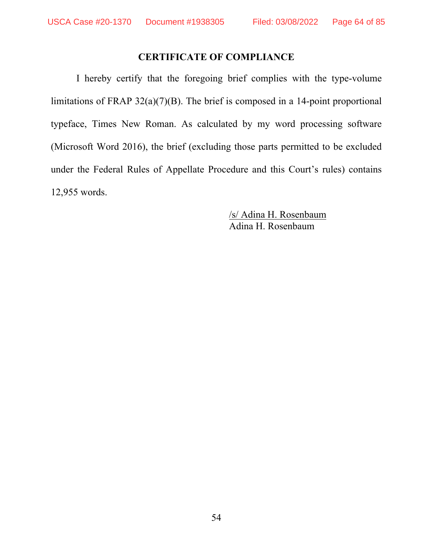## **CERTIFICATE OF COMPLIANCE**

I hereby certify that the foregoing brief complies with the type-volume limitations of FRAP 32(a)(7)(B). The brief is composed in a 14-point proportional typeface, Times New Roman. As calculated by my word processing software (Microsoft Word 2016), the brief (excluding those parts permitted to be excluded under the Federal Rules of Appellate Procedure and this Court's rules) contains 12,955 words.

> /s/ Adina H. Rosenbaum Adina H. Rosenbaum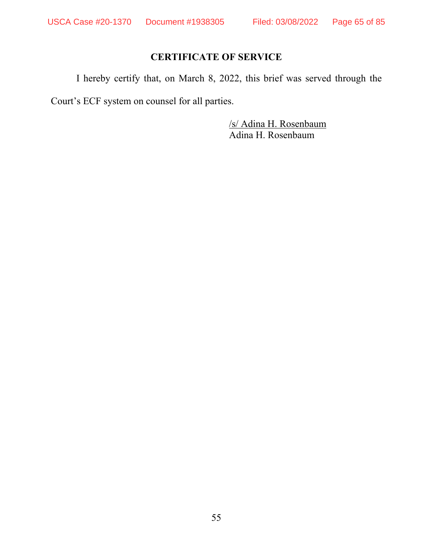## **CERTIFICATE OF SERVICE**

I hereby certify that, on March 8, 2022, this brief was served through the

Court's ECF system on counsel for all parties.

/s/ Adina H. Rosenbaum Adina H. Rosenbaum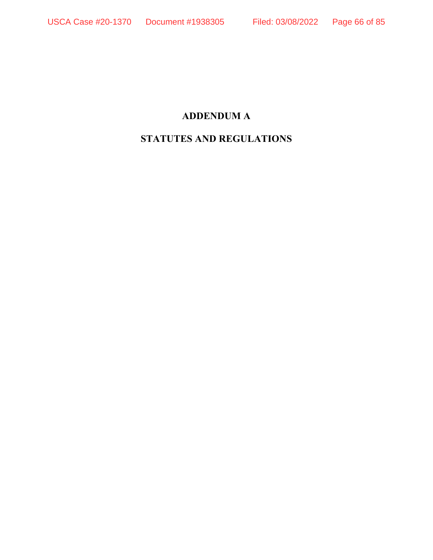## **ADDENDUM A**

# **STATUTES AND REGULATIONS**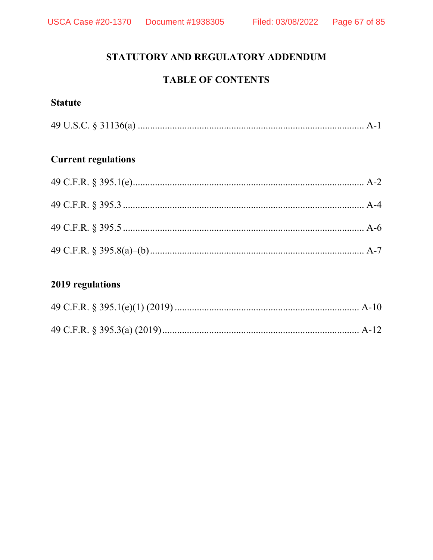# STATUTORY AND REGULATORY ADDENDUM

# **TABLE OF CONTENTS**

## **Statute**

# **Current regulations**

# 2019 regulations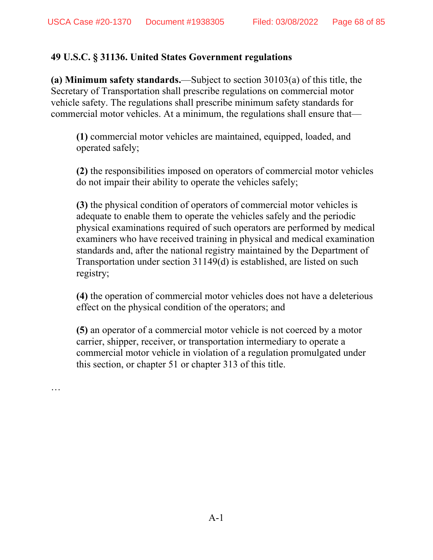…

## **49 U.S.C. § 31136. United States Government regulations**

**(a) Minimum safety standards.**—Subject to section 30103(a) of this title, the Secretary of Transportation shall prescribe regulations on commercial motor vehicle safety. The regulations shall prescribe minimum safety standards for commercial motor vehicles. At a minimum, the regulations shall ensure that—

**(1)** commercial motor vehicles are maintained, equipped, loaded, and operated safely;

**(2)** the responsibilities imposed on operators of commercial motor vehicles do not impair their ability to operate the vehicles safely;

**(3)** the physical condition of operators of commercial motor vehicles is adequate to enable them to operate the vehicles safely and the periodic physical examinations required of such operators are performed by medical examiners who have received training in physical and medical examination standards and, after the national registry maintained by the Department of Transportation under section 31149(d) is established, are listed on such registry;

**(4)** the operation of commercial motor vehicles does not have a deleterious effect on the physical condition of the operators; and

**(5)** an operator of a commercial motor vehicle is not coerced by a motor carrier, shipper, receiver, or transportation intermediary to operate a commercial motor vehicle in violation of a regulation promulgated under this section, or chapter 51 or chapter 313 of this title.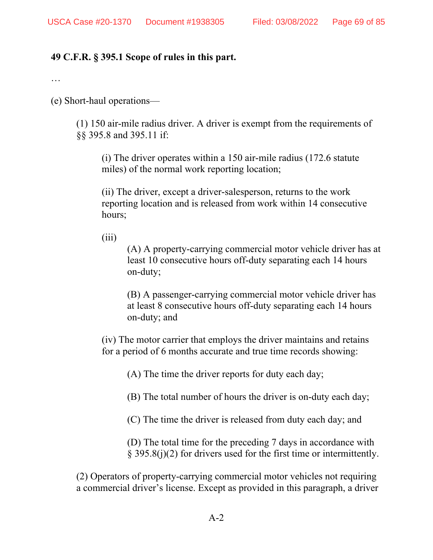## **49 C.F.R. § 395.1 Scope of rules in this part.**

…

(e) Short-haul operations—

(1) 150 air-mile radius driver. A driver is exempt from the requirements of §§ 395.8 and 395.11 if:

(i) The driver operates within a 150 air-mile radius (172.6 statute miles) of the normal work reporting location;

(ii) The driver, except a driver-salesperson, returns to the work reporting location and is released from work within 14 consecutive hours;

 $(iii)$ 

(A) A property-carrying commercial motor vehicle driver has at least 10 consecutive hours off-duty separating each 14 hours on-duty;

(B) A passenger-carrying commercial motor vehicle driver has at least 8 consecutive hours off-duty separating each 14 hours on-duty; and

(iv) The motor carrier that employs the driver maintains and retains for a period of 6 months accurate and true time records showing:

(A) The time the driver reports for duty each day;

(B) The total number of hours the driver is on-duty each day;

(C) The time the driver is released from duty each day; and

(D) The total time for the preceding 7 days in accordance with § 395.8(j)(2) for drivers used for the first time or intermittently.

(2) Operators of property-carrying commercial motor vehicles not requiring a commercial driver's license. Except as provided in this paragraph, a driver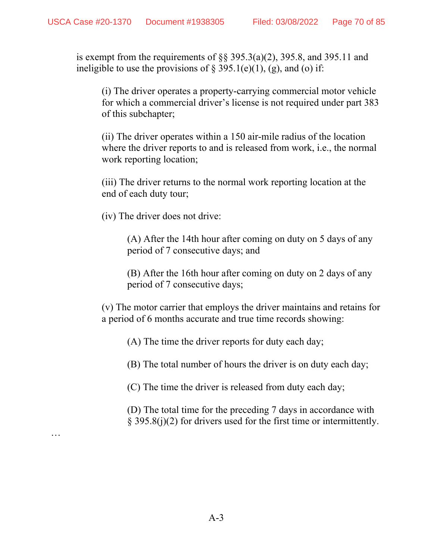is exempt from the requirements of  $\S$ § 395.3(a)(2), 395.8, and 395.11 and ineligible to use the provisions of  $\S 395.1(e)(1)$ , (g), and (o) if:

(i) The driver operates a property-carrying commercial motor vehicle for which a commercial driver's license is not required under part 383 of this subchapter;

(ii) The driver operates within a 150 air-mile radius of the location where the driver reports to and is released from work, i.e., the normal work reporting location;

(iii) The driver returns to the normal work reporting location at the end of each duty tour;

(iv) The driver does not drive:

…

(A) After the 14th hour after coming on duty on 5 days of any period of 7 consecutive days; and

(B) After the 16th hour after coming on duty on 2 days of any period of 7 consecutive days;

(v) The motor carrier that employs the driver maintains and retains for a period of 6 months accurate and true time records showing:

(A) The time the driver reports for duty each day;

(B) The total number of hours the driver is on duty each day;

(C) The time the driver is released from duty each day;

(D) The total time for the preceding 7 days in accordance with § 395.8(j)(2) for drivers used for the first time or intermittently.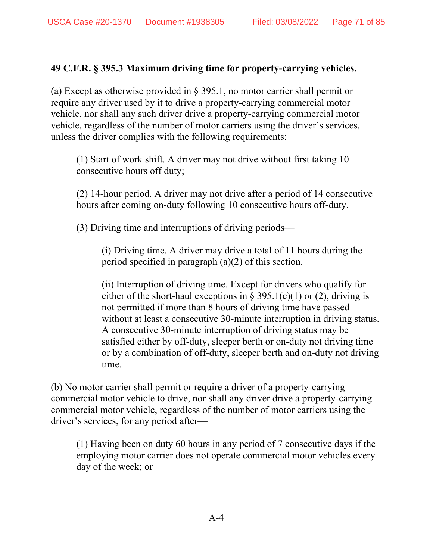## **49 C.F.R. § 395.3 Maximum driving time for property-carrying vehicles.**

(a) Except as otherwise provided in § 395.1, no motor carrier shall permit or require any driver used by it to drive a property-carrying commercial motor vehicle, nor shall any such driver drive a property-carrying commercial motor vehicle, regardless of the number of motor carriers using the driver's services, unless the driver complies with the following requirements:

(1) Start of work shift. A driver may not drive without first taking 10 consecutive hours off duty;

(2) 14-hour period. A driver may not drive after a period of 14 consecutive hours after coming on-duty following 10 consecutive hours off-duty.

(3) Driving time and interruptions of driving periods—

(i) Driving time. A driver may drive a total of 11 hours during the period specified in paragraph (a)(2) of this section.

(ii) Interruption of driving time. Except for drivers who qualify for either of the short-haul exceptions in § 395.1(e)(1) or (2), driving is not permitted if more than 8 hours of driving time have passed without at least a consecutive 30-minute interruption in driving status. A consecutive 30-minute interruption of driving status may be satisfied either by off-duty, sleeper berth or on-duty not driving time or by a combination of off-duty, sleeper berth and on-duty not driving time.

(b) No motor carrier shall permit or require a driver of a property-carrying commercial motor vehicle to drive, nor shall any driver drive a property-carrying commercial motor vehicle, regardless of the number of motor carriers using the driver's services, for any period after—

(1) Having been on duty 60 hours in any period of 7 consecutive days if the employing motor carrier does not operate commercial motor vehicles every day of the week; or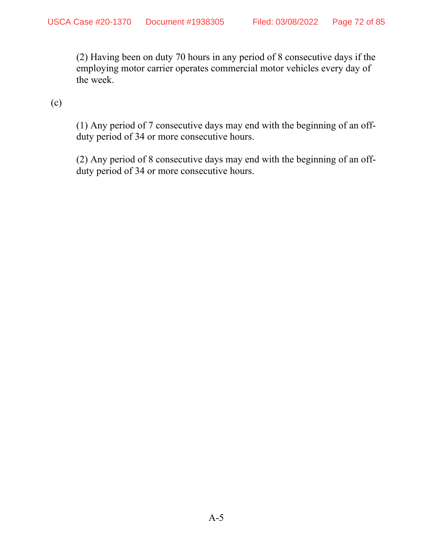(2) Having been on duty 70 hours in any period of 8 consecutive days if the employing motor carrier operates commercial motor vehicles every day of the week.

(c)

(1) Any period of 7 consecutive days may end with the beginning of an offduty period of 34 or more consecutive hours.

(2) Any period of 8 consecutive days may end with the beginning of an offduty period of 34 or more consecutive hours.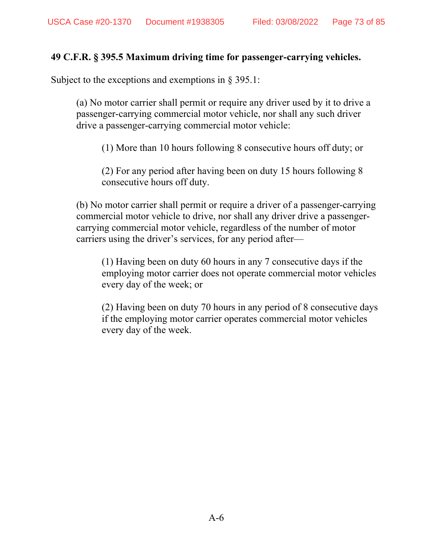## **49 C.F.R. § 395.5 Maximum driving time for passenger-carrying vehicles.**

Subject to the exceptions and exemptions in § 395.1:

(a) No motor carrier shall permit or require any driver used by it to drive a passenger-carrying commercial motor vehicle, nor shall any such driver drive a passenger-carrying commercial motor vehicle:

(1) More than 10 hours following 8 consecutive hours off duty; or

(2) For any period after having been on duty 15 hours following 8 consecutive hours off duty.

(b) No motor carrier shall permit or require a driver of a passenger-carrying commercial motor vehicle to drive, nor shall any driver drive a passengercarrying commercial motor vehicle, regardless of the number of motor carriers using the driver's services, for any period after—

(1) Having been on duty 60 hours in any 7 consecutive days if the employing motor carrier does not operate commercial motor vehicles every day of the week; or

(2) Having been on duty 70 hours in any period of 8 consecutive days if the employing motor carrier operates commercial motor vehicles every day of the week.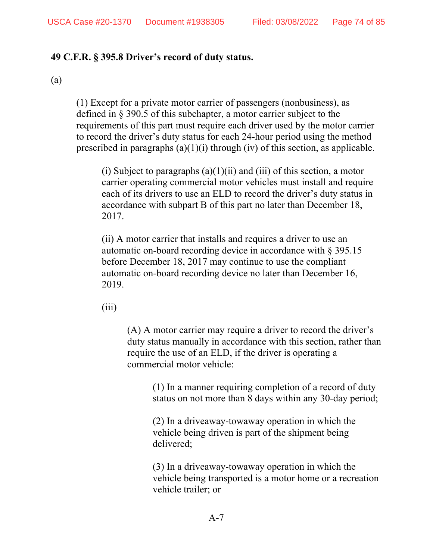### **49 C.F.R. § 395.8 Driver's record of duty status.**

#### (a)

(1) Except for a private motor carrier of passengers (nonbusiness), as defined in § 390.5 of this subchapter, a motor carrier subject to the requirements of this part must require each driver used by the motor carrier to record the driver's duty status for each 24-hour period using the method prescribed in paragraphs  $(a)(1)(i)$  through (iv) of this section, as applicable.

(i) Subject to paragraphs  $(a)(1)(ii)$  and  $(iii)$  of this section, a motor carrier operating commercial motor vehicles must install and require each of its drivers to use an ELD to record the driver's duty status in accordance with subpart B of this part no later than December 18, 2017.

(ii) A motor carrier that installs and requires a driver to use an automatic on-board recording device in accordance with § 395.15 before December 18, 2017 may continue to use the compliant automatic on-board recording device no later than December 16, 2019.

 $(iii)$ 

(A) A motor carrier may require a driver to record the driver's duty status manually in accordance with this section, rather than require the use of an ELD, if the driver is operating a commercial motor vehicle:

(1) In a manner requiring completion of a record of duty status on not more than 8 days within any 30-day period;

(2) In a driveaway-towaway operation in which the vehicle being driven is part of the shipment being delivered;

(3) In a driveaway-towaway operation in which the vehicle being transported is a motor home or a recreation vehicle trailer; or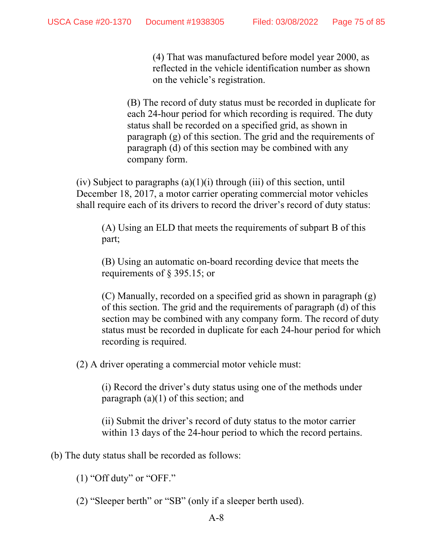(4) That was manufactured before model year 2000, as reflected in the vehicle identification number as shown on the vehicle's registration.

(B) The record of duty status must be recorded in duplicate for each 24-hour period for which recording is required. The duty status shall be recorded on a specified grid, as shown in paragraph (g) of this section. The grid and the requirements of paragraph (d) of this section may be combined with any company form.

(iv) Subject to paragraphs  $(a)(1)(i)$  through (iii) of this section, until December 18, 2017, a motor carrier operating commercial motor vehicles shall require each of its drivers to record the driver's record of duty status:

(A) Using an ELD that meets the requirements of subpart B of this part;

(B) Using an automatic on-board recording device that meets the requirements of § 395.15; or

(C) Manually, recorded on a specified grid as shown in paragraph (g) of this section. The grid and the requirements of paragraph (d) of this section may be combined with any company form. The record of duty status must be recorded in duplicate for each 24-hour period for which recording is required.

(2) A driver operating a commercial motor vehicle must:

(i) Record the driver's duty status using one of the methods under paragraph (a)(1) of this section; and

(ii) Submit the driver's record of duty status to the motor carrier within 13 days of the 24-hour period to which the record pertains.

(b) The duty status shall be recorded as follows:

 $(1)$  "Off duty" or "OFF."

(2) "Sleeper berth" or "SB" (only if a sleeper berth used).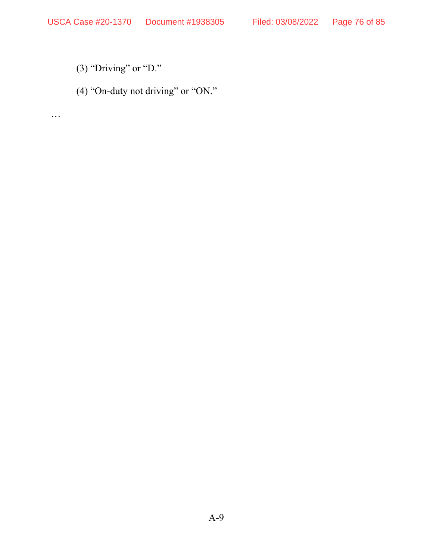- (3) "Driving" or "D."
- (4) "On-duty not driving" or "ON."

…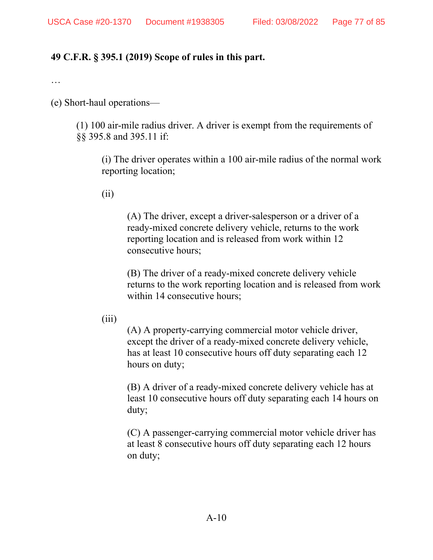## **49 C.F.R. § 395.1 (2019) Scope of rules in this part.**

…

(e) Short-haul operations—

(1) 100 air-mile radius driver. A driver is exempt from the requirements of §§ 395.8 and 395.11 if:

(i) The driver operates within a 100 air-mile radius of the normal work reporting location;

(ii)

(A) The driver, except a driver-salesperson or a driver of a ready-mixed concrete delivery vehicle, returns to the work reporting location and is released from work within 12 consecutive hours;

(B) The driver of a ready-mixed concrete delivery vehicle returns to the work reporting location and is released from work within 14 consecutive hours;

 $(iii)$ 

(A) A property-carrying commercial motor vehicle driver, except the driver of a ready-mixed concrete delivery vehicle, has at least 10 consecutive hours off duty separating each 12 hours on duty;

(B) A driver of a ready-mixed concrete delivery vehicle has at least 10 consecutive hours off duty separating each 14 hours on duty;

(C) A passenger-carrying commercial motor vehicle driver has at least 8 consecutive hours off duty separating each 12 hours on duty;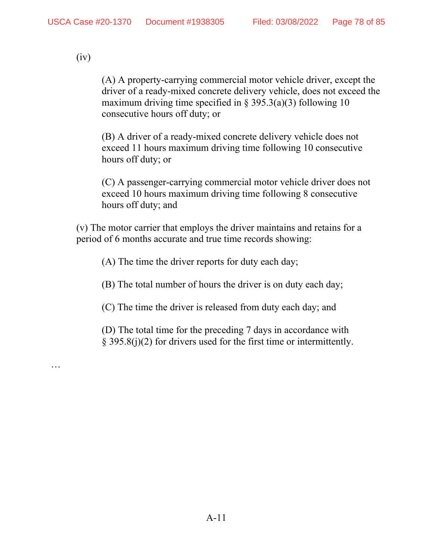(iv)

…

(A) A property-carrying commercial motor vehicle driver, except the driver of a ready-mixed concrete delivery vehicle, does not exceed the maximum driving time specified in  $\S$  395.3(a)(3) following 10 consecutive hours off duty; or

(B) A driver of a ready-mixed concrete delivery vehicle does not exceed 11 hours maximum driving time following 10 consecutive hours off duty; or

(C) A passenger-carrying commercial motor vehicle driver does not exceed 10 hours maximum driving time following 8 consecutive hours off duty; and

(v) The motor carrier that employs the driver maintains and retains for a period of 6 months accurate and true time records showing:

(A) The time the driver reports for duty each day;

(B) The total number of hours the driver is on duty each day;

(C) The time the driver is released from duty each day; and

(D) The total time for the preceding 7 days in accordance with § 395.8(j)(2) for drivers used for the first time or intermittently.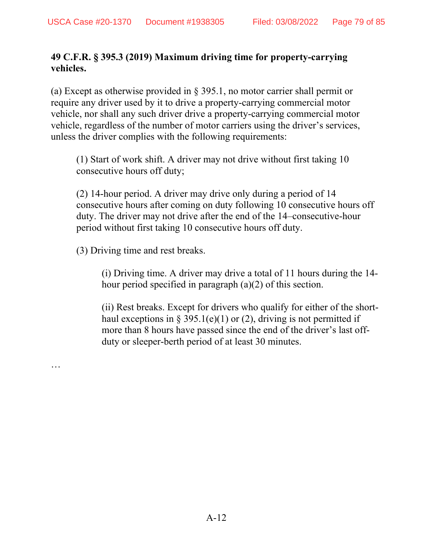## **49 C.F.R. § 395.3 (2019) Maximum driving time for property-carrying vehicles.**

(a) Except as otherwise provided in § 395.1, no motor carrier shall permit or require any driver used by it to drive a property-carrying commercial motor vehicle, nor shall any such driver drive a property-carrying commercial motor vehicle, regardless of the number of motor carriers using the driver's services, unless the driver complies with the following requirements:

(1) Start of work shift. A driver may not drive without first taking 10 consecutive hours off duty;

(2) 14-hour period. A driver may drive only during a period of 14 consecutive hours after coming on duty following 10 consecutive hours off duty. The driver may not drive after the end of the 14–consecutive-hour period without first taking 10 consecutive hours off duty.

(3) Driving time and rest breaks.

…

(i) Driving time. A driver may drive a total of 11 hours during the 14 hour period specified in paragraph (a)(2) of this section.

(ii) Rest breaks. Except for drivers who qualify for either of the shorthaul exceptions in § 395.1(e)(1) or (2), driving is not permitted if more than 8 hours have passed since the end of the driver's last offduty or sleeper-berth period of at least 30 minutes.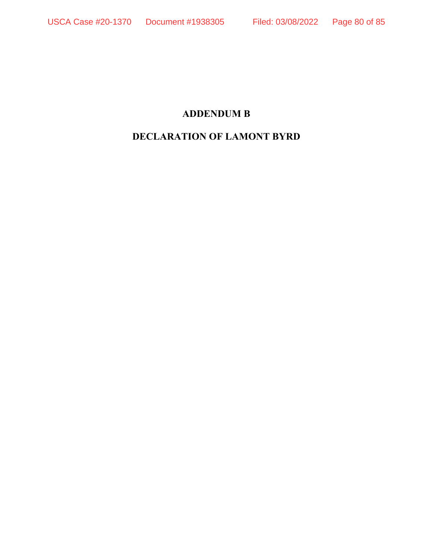# **ADDENDUM B**

# **DECLARATION OF LAMONT BYRD**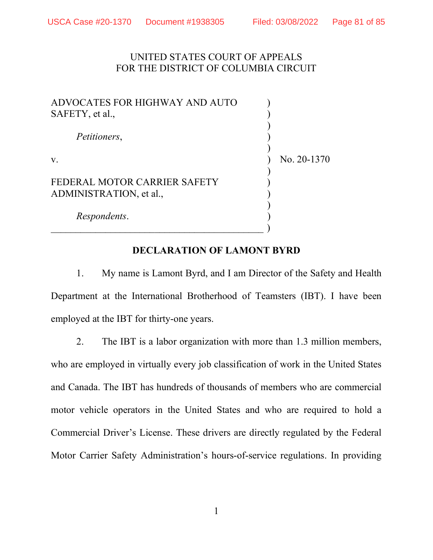## UNITED STATES COURT OF APPEALS FOR THE DISTRICT OF COLUMBIA CIRCUIT

| ADVOCATES FOR HIGHWAY AND AUTO<br>SAFETY, et al.,       |             |
|---------------------------------------------------------|-------------|
| Petitioners,                                            |             |
| V.                                                      | No. 20-1370 |
| FEDERAL MOTOR CARRIER SAFETY<br>ADMINISTRATION, et al., |             |
| Respondents.                                            |             |

## DECLARATION OF LAMONT BYRD

1. My name is Lamont Byrd, and I am Director of the Safety and Health Department at the International Brotherhood of Teamsters (IBT). I have been employed at the IBT for thirty-one years.

2. The IBT is a labor organization with more than 1.3 million members, who are employed in virtually every job classification of work in the United States and Canada. The IBT has hundreds of thousands of members who are commercial motor vehicle operators in the United States and who are required to hold a Commercial Driver's License. These drivers are directly regulated by the Federal Motor Carrier Safety Administration's hours-of-service regulations. In providing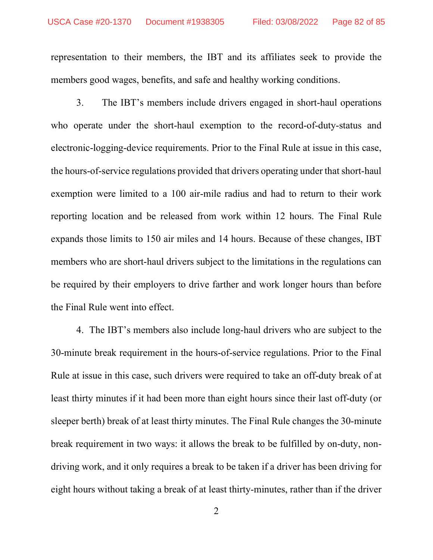representation to their members, the IBT and its affiliates seek to provide the members good wages, benefits, and safe and healthy working conditions.

3. The IBT's members include drivers engaged in short-haul operations who operate under the short-haul exemption to the record-of-duty-status and electronic-logging-device requirements. Prior to the Final Rule at issue in this case, the hours-of-service regulations provided that drivers operating under that short-haul exemption were limited to a 100 air-mile radius and had to return to their work reporting location and be released from work within 12 hours. The Final Rule expands those limits to 150 air miles and 14 hours. Because of these changes, IBT members who are short-haul drivers subject to the limitations in the regulations can be required by their employers to drive farther and work longer hours than before the Final Rule went into effect.

4. The IBT's members also include long-haul drivers who are subject to the 30-minute break requirement in the hours-of-service regulations. Prior to the Final Rule at issue in this case, such drivers were required to take an off-duty break of at least thirty minutes if it had been more than eight hours since their last off-duty (or sleeper berth) break of at least thirty minutes. The Final Rule changes the 30-minute break requirement in two ways: it allows the break to be fulfilled by on-duty, nondriving work, and it only requires a break to be taken if a driver has been driving for eight hours without taking a break of at least thirty-minutes, rather than if the driver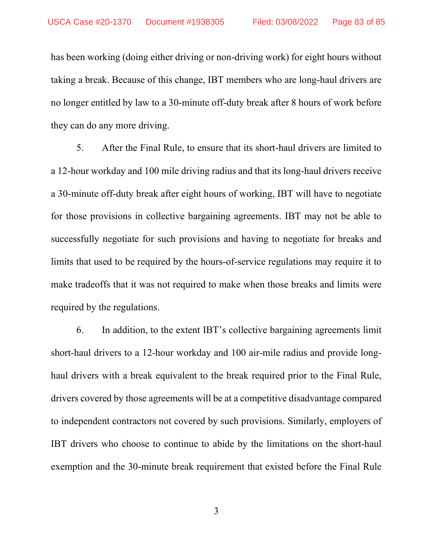has been working (doing either driving or non-driving work) for eight hours without taking a break. Because of this change, IBT members who are long-haul drivers are no longer entitled by law to a 30-minute off-duty break after 8 hours of work before they can do any more driving.

5. After the Final Rule, to ensure that its short-haul drivers are limited to a 12-hour workday and 100 mile driving radius and that its long-haul drivers receive a 30-minute off-duty break after eight hours of working, IBT will have to negotiate for those provisions in collective bargaining agreements. IBT may not be able to successfully negotiate for such provisions and having to negotiate for breaks and limits that used to be required by the hours-of-service regulations may require it to make tradeoffs that it was not required to make when those breaks and limits were required by the regulations.

6. In addition, to the extent IBT's collective bargaining agreements limit short-haul drivers to a 12-hour workday and 100 air-mile radius and provide longhaul drivers with a break equivalent to the break required prior to the Final Rule, drivers covered by those agreements will be at a competitive disadvantage compared to independent contractors not covered by such provisions. Similarly, employers of IBT drivers who choose to continue to abide by the limitations on the short-haul exemption and the 30-minute break requirement that existed before the Final Rule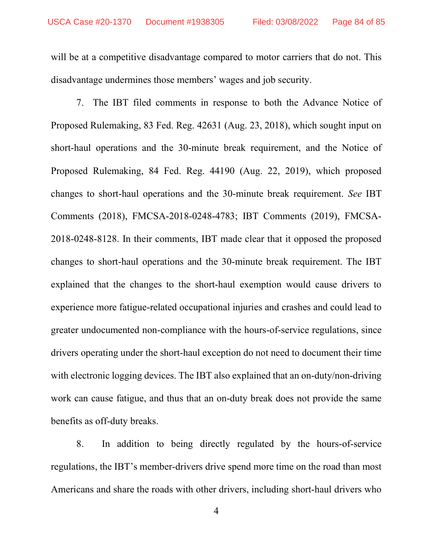will be at a competitive disadvantage compared to motor carriers that do not. This disadvantage undermines those members' wages and job security.

7. The IBT filed comments in response to both the Advance Notice of Proposed Rulemaking, 83 Fed. Reg. 42631 (Aug. 23, 2018), which sought input on short-haul operations and the 30-minute break requirement, and the Notice of Proposed Rulemaking, 84 Fed. Reg. 44190 (Aug. 22, 2019), which proposed changes to short-haul operations and the 30-minute break requirement. See IBT Comments (2018), FMCSA-2018-0248-4783; IBT Comments (2019), FMCSA-2018-0248-8128. In their comments, IBT made clear that it opposed the proposed changes to short-haul operations and the 30-minute break requirement. The IBT explained that the changes to the short-haul exemption would cause drivers to experience more fatigue-related occupational injuries and crashes and could lead to greater undocumented non-compliance with the hours-of-service regulations, since drivers operating under the short-haul exception do not need to document their time with electronic logging devices. The IBT also explained that an on-duty/non-driving work can cause fatigue, and thus that an on-duty break does not provide the same benefits as off-duty breaks.

8. In addition to being directly regulated by the hours-of-service regulations, the IBT's member-drivers drive spend more time on the road than most Americans and share the roads with other drivers, including short-haul drivers who